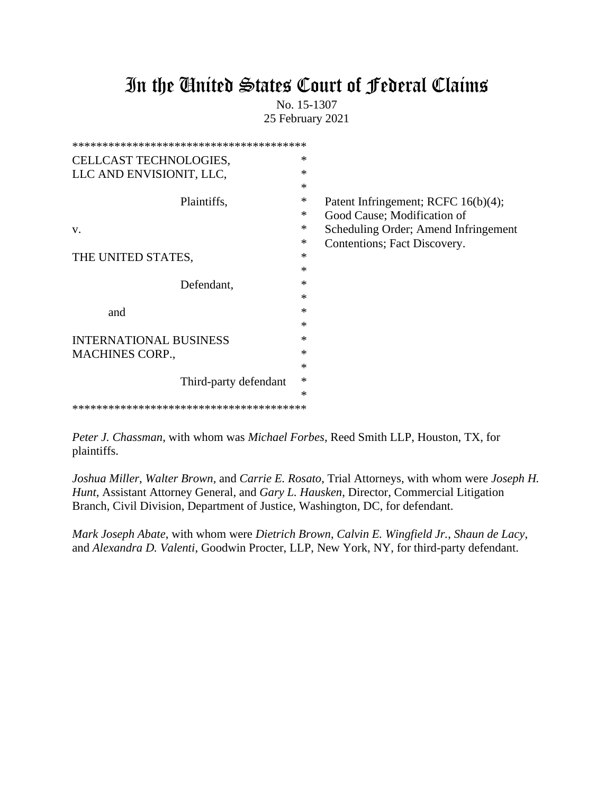# In the United States Court of Federal Claims

No. 15-1307 25 February 2021

| CELLCAST TECHNOLOGIES,        | ∗      |                                      |
|-------------------------------|--------|--------------------------------------|
| LLC AND ENVISIONIT, LLC,      | $\ast$ |                                      |
|                               | $\ast$ |                                      |
| Plaintiffs,                   | $\ast$ | Patent Infringement; RCFC 16(b)(4);  |
|                               | ∗      | Good Cause; Modification of          |
| V.                            | ∗      | Scheduling Order; Amend Infringement |
|                               | $\ast$ | Contentions; Fact Discovery.         |
| THE UNITED STATES,            | ∗      |                                      |
|                               | ∗      |                                      |
| Defendant,                    | $\ast$ |                                      |
|                               | ∗      |                                      |
| and                           | ∗      |                                      |
|                               | ∗      |                                      |
| <b>INTERNATIONAL BUSINESS</b> | *      |                                      |
| <b>MACHINES CORP.,</b>        | $\ast$ |                                      |
|                               | $\ast$ |                                      |
| Third-party defendant         | $\ast$ |                                      |
|                               | $\ast$ |                                      |
|                               |        |                                      |

*Peter J. Chassman*, with whom was *Michael Forbes*, Reed Smith LLP, Houston, TX, for plaintiffs.

*Joshua Miller*, *Walter Brown*, and *Carrie E. Rosato*, Trial Attorneys, with whom were *Joseph H. Hunt*, Assistant Attorney General, and *Gary L. Hausken*, Director, Commercial Litigation Branch, Civil Division, Department of Justice, Washington, DC, for defendant.

*Mark Joseph Abate*, with whom were *Dietrich Brown*, *Calvin E. Wingfield Jr.*, *Shaun de Lacy*, and *Alexandra D. Valenti*, Goodwin Procter, LLP, New York, NY, for third-party defendant.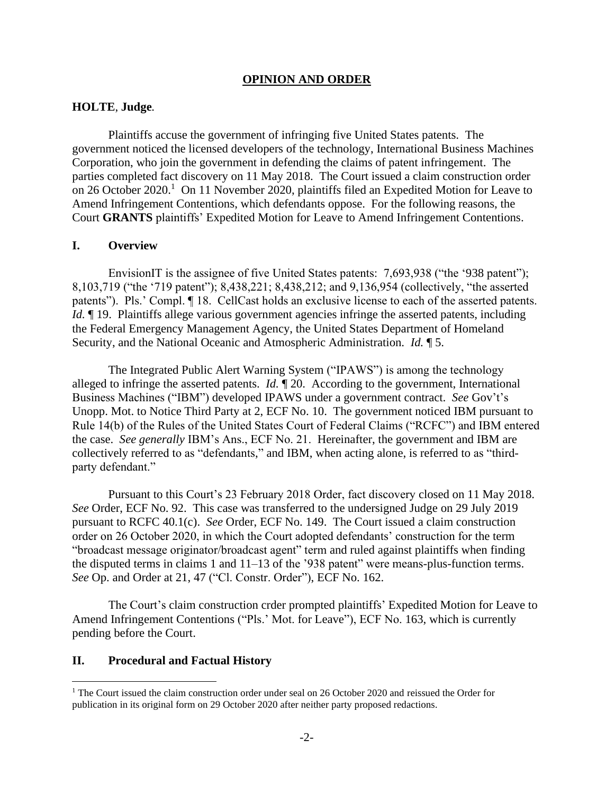#### **OPINION AND ORDER**

### **HOLTE**, **Judge***.*

Plaintiffs accuse the government of infringing five United States patents. The government noticed the licensed developers of the technology, International Business Machines Corporation, who join the government in defending the claims of patent infringement. The parties completed fact discovery on 11 May 2018. The Court issued a claim construction order on 26 October 2020.<sup>1</sup> On 11 November 2020, plaintiffs filed an Expedited Motion for Leave to Amend Infringement Contentions, which defendants oppose. For the following reasons, the Court **GRANTS** plaintiffs' Expedited Motion for Leave to Amend Infringement Contentions.

#### **I. Overview**

EnvisionIT is the assignee of five United States patents: 7,693,938 ("the '938 patent"); 8,103,719 ("the '719 patent"); 8,438,221; 8,438,212; and 9,136,954 (collectively, "the asserted patents"). Pls.' Compl. ¶ 18. CellCast holds an exclusive license to each of the asserted patents. *Id.*  $\parallel$  19. Plaintiffs allege various government agencies infringe the asserted patents, including the Federal Emergency Management Agency, the United States Department of Homeland Security, and the National Oceanic and Atmospheric Administration. *Id.* ¶ 5.

The Integrated Public Alert Warning System ("IPAWS") is among the technology alleged to infringe the asserted patents. *Id.* ¶ 20. According to the government, International Business Machines ("IBM") developed IPAWS under a government contract. *See* Gov't's Unopp. Mot. to Notice Third Party at 2, ECF No. 10. The government noticed IBM pursuant to Rule 14(b) of the Rules of the United States Court of Federal Claims ("RCFC") and IBM entered the case. *See generally* IBM's Ans., ECF No. 21. Hereinafter, the government and IBM are collectively referred to as "defendants," and IBM, when acting alone, is referred to as "thirdparty defendant."

Pursuant to this Court's 23 February 2018 Order, fact discovery closed on 11 May 2018. *See* Order, ECF No. 92. This case was transferred to the undersigned Judge on 29 July 2019 pursuant to RCFC 40.1(c). *See* Order, ECF No. 149. The Court issued a claim construction order on 26 October 2020, in which the Court adopted defendants' construction for the term "broadcast message originator/broadcast agent" term and ruled against plaintiffs when finding the disputed terms in claims 1 and 11–13 of the '938 patent" were means-plus-function terms. *See* Op. and Order at 21, 47 ("Cl. Constr. Order"), ECF No. 162.

The Court's claim construction crder prompted plaintiffs' Expedited Motion for Leave to Amend Infringement Contentions ("Pls.' Mot. for Leave"), ECF No. 163, which is currently pending before the Court.

## **II. Procedural and Factual History**

<sup>&</sup>lt;sup>1</sup> The Court issued the claim construction order under seal on 26 October 2020 and reissued the Order for publication in its original form on 29 October 2020 after neither party proposed redactions.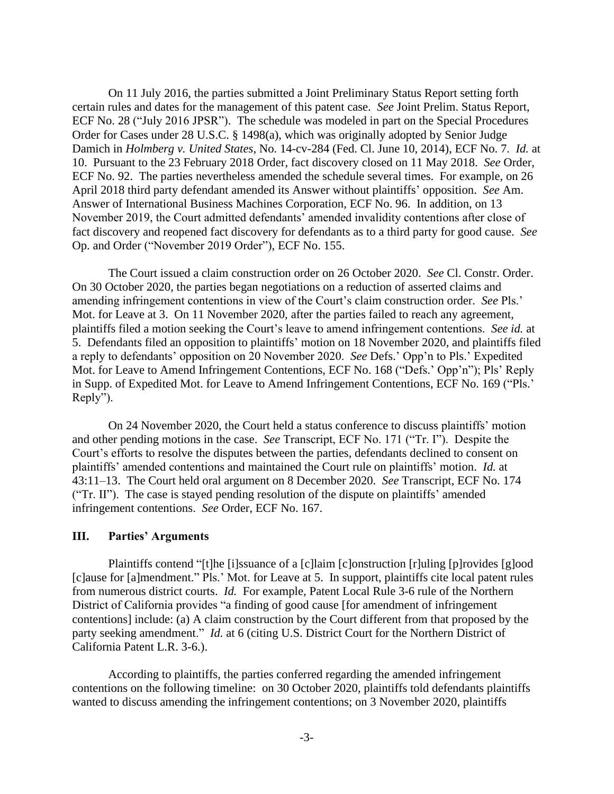On 11 July 2016, the parties submitted a Joint Preliminary Status Report setting forth certain rules and dates for the management of this patent case. *See* Joint Prelim. Status Report, ECF No. 28 ("July 2016 JPSR"). The schedule was modeled in part on the Special Procedures Order for Cases under 28 U.S.C. § 1498(a), which was originally adopted by Senior Judge Damich in *Holmberg v. United States*, No. 14-cv-284 (Fed. Cl. June 10, 2014), ECF No. 7. *Id.* at 10. Pursuant to the 23 February 2018 Order, fact discovery closed on 11 May 2018. *See* Order, ECF No. 92. The parties nevertheless amended the schedule several times. For example, on 26 April 2018 third party defendant amended its Answer without plaintiffs' opposition. *See* Am. Answer of International Business Machines Corporation, ECF No. 96. In addition, on 13 November 2019, the Court admitted defendants' amended invalidity contentions after close of fact discovery and reopened fact discovery for defendants as to a third party for good cause. *See*  Op. and Order ("November 2019 Order"), ECF No. 155.

The Court issued a claim construction order on 26 October 2020. *See* Cl. Constr. Order. On 30 October 2020, the parties began negotiations on a reduction of asserted claims and amending infringement contentions in view of the Court's claim construction order. *See* Pls.' Mot. for Leave at 3. On 11 November 2020, after the parties failed to reach any agreement, plaintiffs filed a motion seeking the Court's leave to amend infringement contentions. *See id.* at 5.Defendants filed an opposition to plaintiffs' motion on 18 November 2020, and plaintiffs filed a reply to defendants' opposition on 20 November 2020. *See* Defs.' Opp'n to Pls.' Expedited Mot. for Leave to Amend Infringement Contentions, ECF No. 168 ("Defs.' Opp'n"); Pls' Reply in Supp. of Expedited Mot. for Leave to Amend Infringement Contentions, ECF No. 169 ("Pls.' Reply").

On 24 November 2020, the Court held a status conference to discuss plaintiffs' motion and other pending motions in the case. *See* Transcript, ECF No. 171 ("Tr. I"). Despite the Court's efforts to resolve the disputes between the parties, defendants declined to consent on plaintiffs' amended contentions and maintained the Court rule on plaintiffs' motion. *Id.* at 43:11–13. The Court held oral argument on 8 December 2020. *See* Transcript, ECF No. 174 ("Tr. II"). The case is stayed pending resolution of the dispute on plaintiffs' amended infringement contentions. *See* Order, ECF No. 167.

## **III. Parties' Arguments**

Plaintiffs contend "[t]he [i]ssuance of a [c]laim [c]onstruction [r]uling [p]rovides [g]ood [c]ause for [a]mendment." Pls.' Mot. for Leave at 5. In support, plaintiffs cite local patent rules from numerous district courts. *Id.* For example, Patent Local Rule 3-6 rule of the Northern District of California provides "a finding of good cause [for amendment of infringement contentions] include: (a) A claim construction by the Court different from that proposed by the party seeking amendment." *Id.* at 6 (citing U.S. District Court for the Northern District of California Patent L.R. 3-6.).

According to plaintiffs, the parties conferred regarding the amended infringement contentions on the following timeline: on 30 October 2020, plaintiffs told defendants plaintiffs wanted to discuss amending the infringement contentions; on 3 November 2020, plaintiffs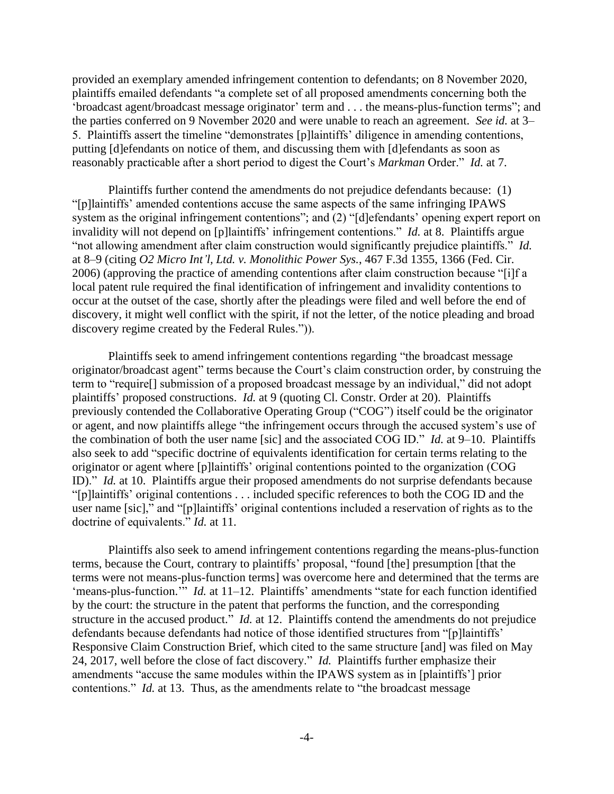provided an exemplary amended infringement contention to defendants; on 8 November 2020, plaintiffs emailed defendants "a complete set of all proposed amendments concerning both the 'broadcast agent/broadcast message originator' term and . . . the means-plus-function terms"; and the parties conferred on 9 November 2020 and were unable to reach an agreement. *See id.* at 3– 5. Plaintiffs assert the timeline "demonstrates [p]laintiffs' diligence in amending contentions, putting [d]efendants on notice of them, and discussing them with [d]efendants as soon as reasonably practicable after a short period to digest the Court's *Markman* Order." *Id.* at 7.

Plaintiffs further contend the amendments do not prejudice defendants because: (1) "[p]laintiffs' amended contentions accuse the same aspects of the same infringing IPAWS system as the original infringement contentions"; and (2) "[d]efendants' opening expert report on invalidity will not depend on [p]laintiffs' infringement contentions." *Id.* at 8. Plaintiffs argue "not allowing amendment after claim construction would significantly prejudice plaintiffs." *Id.*  at 8–9 (citing *O2 Micro Int'l, Ltd. v. Monolithic Power Sys.*, 467 F.3d 1355, 1366 (Fed. Cir. 2006) (approving the practice of amending contentions after claim construction because "[i]f a local patent rule required the final identification of infringement and invalidity contentions to occur at the outset of the case, shortly after the pleadings were filed and well before the end of discovery, it might well conflict with the spirit, if not the letter, of the notice pleading and broad discovery regime created by the Federal Rules.")).

Plaintiffs seek to amend infringement contentions regarding "the broadcast message originator/broadcast agent" terms because the Court's claim construction order, by construing the term to "require[] submission of a proposed broadcast message by an individual," did not adopt plaintiffs' proposed constructions. *Id.* at 9 (quoting Cl. Constr. Order at 20). Plaintiffs previously contended the Collaborative Operating Group ("COG") itself could be the originator or agent, and now plaintiffs allege "the infringement occurs through the accused system's use of the combination of both the user name [sic] and the associated COG ID." *Id.* at 9–10. Plaintiffs also seek to add "specific doctrine of equivalents identification for certain terms relating to the originator or agent where [p]laintiffs' original contentions pointed to the organization (COG ID)." *Id.* at 10. Plaintiffs argue their proposed amendments do not surprise defendants because "[p]laintiffs' original contentions . . . included specific references to both the COG ID and the user name [sic]," and "[p]laintiffs' original contentions included a reservation of rights as to the doctrine of equivalents." *Id.* at 11.

Plaintiffs also seek to amend infringement contentions regarding the means-plus-function terms, because the Court, contrary to plaintiffs' proposal, "found [the] presumption [that the terms were not means-plus-function terms] was overcome here and determined that the terms are 'means-plus-function.'" *Id.* at 11–12. Plaintiffs' amendments "state for each function identified by the court: the structure in the patent that performs the function, and the corresponding structure in the accused product." *Id.* at 12. Plaintiffs contend the amendments do not prejudice defendants because defendants had notice of those identified structures from "[p]laintiffs' Responsive Claim Construction Brief, which cited to the same structure [and] was filed on May 24, 2017, well before the close of fact discovery." *Id.* Plaintiffs further emphasize their amendments "accuse the same modules within the IPAWS system as in [plaintiffs'] prior contentions." *Id.* at 13. Thus, as the amendments relate to "the broadcast message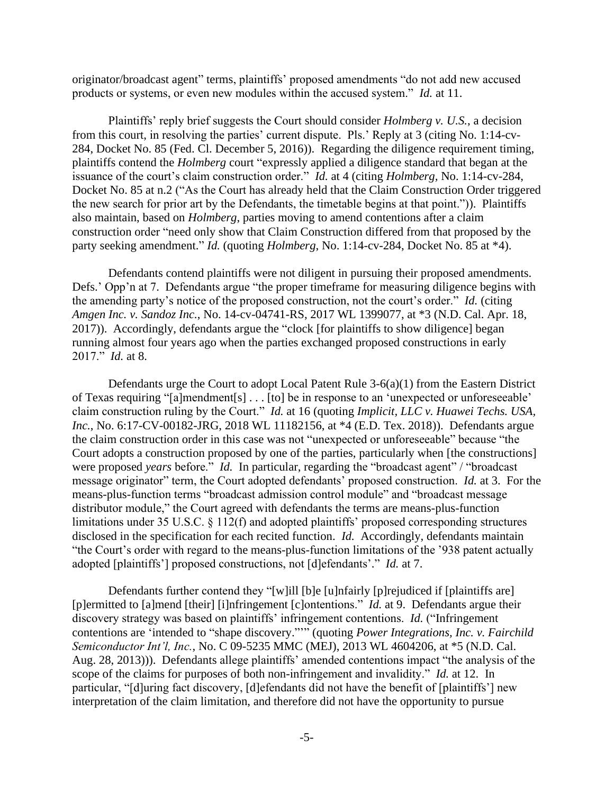originator/broadcast agent" terms, plaintiffs' proposed amendments "do not add new accused products or systems, or even new modules within the accused system." *Id.* at 11.

Plaintiffs' reply brief suggests the Court should consider *Holmberg v. U.S.*, a decision from this court, in resolving the parties' current dispute. Pls.' Reply at 3 (citing No. 1:14-cv-284, Docket No. 85 (Fed. Cl. December 5, 2016)). Regarding the diligence requirement timing, plaintiffs contend the *Holmberg* court "expressly applied a diligence standard that began at the issuance of the court's claim construction order." *Id.* at 4 (citing *Holmberg,* No. 1:14-cv-284, Docket No. 85 at n.2 ("As the Court has already held that the Claim Construction Order triggered the new search for prior art by the Defendants, the timetable begins at that point.")). Plaintiffs also maintain, based on *Holmberg*, parties moving to amend contentions after a claim construction order "need only show that Claim Construction differed from that proposed by the party seeking amendment." *Id.* (quoting *Holmberg*, No. 1:14-cv-284, Docket No. 85 at \*4).

Defendants contend plaintiffs were not diligent in pursuing their proposed amendments. Defs.' Opp'n at 7. Defendants argue "the proper timeframe for measuring diligence begins with the amending party's notice of the proposed construction, not the court's order." *Id.* (citing *Amgen Inc. v. Sandoz Inc.*, No. 14-cv-04741-RS, 2017 WL 1399077, at \*3 (N.D. Cal. Apr. 18, 2017)). Accordingly, defendants argue the "clock [for plaintiffs to show diligence] began running almost four years ago when the parties exchanged proposed constructions in early 2017." *Id.* at 8.

Defendants urge the Court to adopt Local Patent Rule 3-6(a)(1) from the Eastern District of Texas requiring "[a]mendment[s] . . . [to] be in response to an 'unexpected or unforeseeable' claim construction ruling by the Court." *Id.* at 16 (quoting *Implicit, LLC v. Huawei Techs. USA, Inc.*, No. 6:17-CV-00182-JRG, 2018 WL 11182156, at \*4 (E.D. Tex. 2018)). Defendants argue the claim construction order in this case was not "unexpected or unforeseeable" because "the Court adopts a construction proposed by one of the parties, particularly when [the constructions] were proposed *years* before." *Id.* In particular, regarding the "broadcast agent" / "broadcast message originator" term, the Court adopted defendants' proposed construction. *Id.* at 3. For the means-plus-function terms "broadcast admission control module" and "broadcast message distributor module," the Court agreed with defendants the terms are means-plus-function limitations under 35 U.S.C. § 112(f) and adopted plaintiffs' proposed corresponding structures disclosed in the specification for each recited function. *Id.* Accordingly, defendants maintain "the Court's order with regard to the means-plus-function limitations of the '938 patent actually adopted [plaintiffs'] proposed constructions, not [d]efendants'." *Id.* at 7.

Defendants further contend they "[w]ill [b]e [u]nfairly [p]rejudiced if [plaintiffs are] [p]ermitted to [a]mend [their] [i]nfringement [c]ontentions." *Id.* at 9. Defendants argue their discovery strategy was based on plaintiffs' infringement contentions. *Id.* ("Infringement contentions are 'intended to "shape discovery."'" (quoting *Power Integrations, Inc. v. Fairchild Semiconductor Int'l, Inc.*, No. C 09-5235 MMC (MEJ), 2013 WL 4604206, at \*5 (N.D. Cal. Aug. 28, 2013))). Defendants allege plaintiffs' amended contentions impact "the analysis of the scope of the claims for purposes of both non-infringement and invalidity." *Id.* at 12. In particular, "[d]uring fact discovery, [d]efendants did not have the benefit of [plaintiffs'] new interpretation of the claim limitation, and therefore did not have the opportunity to pursue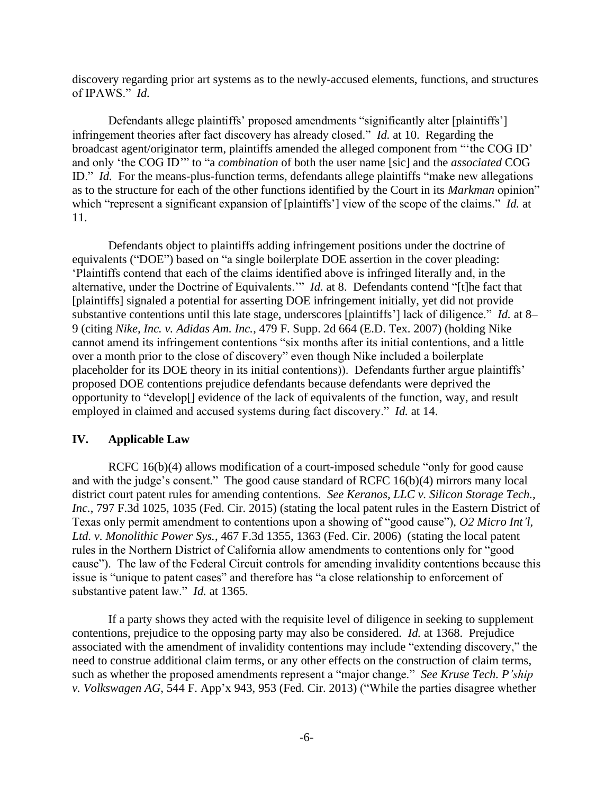discovery regarding prior art systems as to the newly-accused elements, functions, and structures of IPAWS." *Id.* 

Defendants allege plaintiffs' proposed amendments "significantly alter [plaintiffs'] infringement theories after fact discovery has already closed." *Id.* at 10. Regarding the broadcast agent/originator term, plaintiffs amended the alleged component from "'the COG ID' and only 'the COG ID'" to "a *combination* of both the user name [sic] and the *associated* COG ID." *Id.* For the means-plus-function terms, defendants allege plaintiffs "make new allegations as to the structure for each of the other functions identified by the Court in its *Markman* opinion" which "represent a significant expansion of [plaintiffs'] view of the scope of the claims." *Id.* at 11.

Defendants object to plaintiffs adding infringement positions under the doctrine of equivalents ("DOE") based on "a single boilerplate DOE assertion in the cover pleading: 'Plaintiffs contend that each of the claims identified above is infringed literally and, in the alternative, under the Doctrine of Equivalents.'" *Id.* at 8. Defendants contend "[t]he fact that [plaintiffs] signaled a potential for asserting DOE infringement initially, yet did not provide substantive contentions until this late stage, underscores [plaintiffs'] lack of diligence." *Id.* at 8– 9 (citing *Nike, Inc. v. Adidas Am. Inc.*, 479 F. Supp. 2d 664 (E.D. Tex. 2007) (holding Nike cannot amend its infringement contentions "six months after its initial contentions, and a little over a month prior to the close of discovery" even though Nike included a boilerplate placeholder for its DOE theory in its initial contentions)). Defendants further argue plaintiffs' proposed DOE contentions prejudice defendants because defendants were deprived the opportunity to "develop[] evidence of the lack of equivalents of the function, way, and result employed in claimed and accused systems during fact discovery." *Id.* at 14.

#### **IV. Applicable Law**

RCFC 16(b)(4) allows modification of a court-imposed schedule "only for good cause and with the judge's consent." The good cause standard of RCFC 16(b)(4) mirrors many local district court patent rules for amending contentions. *See Keranos, LLC v. Silicon Storage Tech., Inc.*, 797 F.3d 1025, 1035 (Fed. Cir. 2015) (stating the local patent rules in the Eastern District of Texas only permit amendment to contentions upon a showing of "good cause"), *O2 Micro Int'l, Ltd. v. Monolithic Power Sys.*, 467 F.3d 1355, 1363 (Fed. Cir. 2006) (stating the local patent rules in the Northern District of California allow amendments to contentions only for "good cause"). The law of the Federal Circuit controls for amending invalidity contentions because this issue is "unique to patent cases" and therefore has "a close relationship to enforcement of substantive patent law." *Id.* at 1365.

If a party shows they acted with the requisite level of diligence in seeking to supplement contentions, prejudice to the opposing party may also be considered. *Id.* at 1368. Prejudice associated with the amendment of invalidity contentions may include "extending discovery," the need to construe additional claim terms, or any other effects on the construction of claim terms, such as whether the proposed amendments represent a "major change." *See Kruse Tech. P'ship v. Volkswagen AG*, 544 F. App'x 943, 953 (Fed. Cir. 2013) ("While the parties disagree whether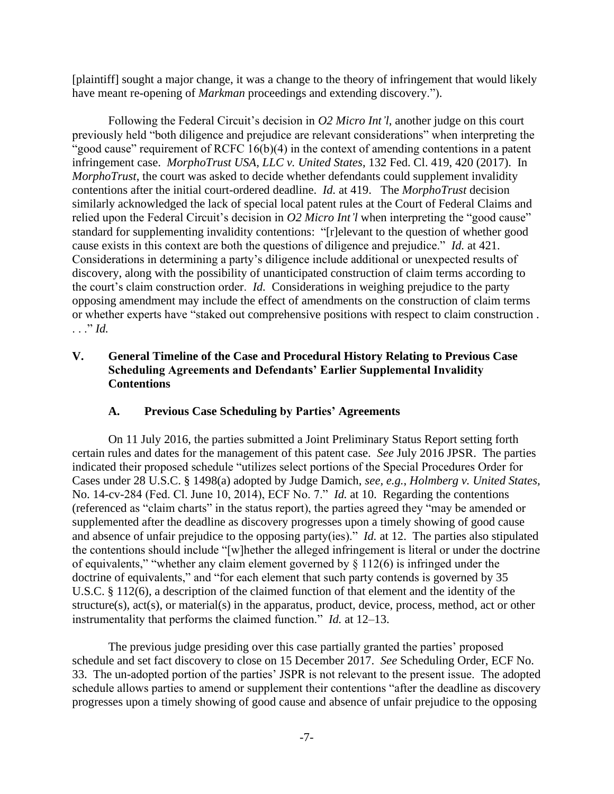[plaintiff] sought a major change, it was a change to the theory of infringement that would likely have meant re-opening of *Markman* proceedings and extending discovery.").

Following the Federal Circuit's decision in *O2 Micro Int'l*, another judge on this court previously held "both diligence and prejudice are relevant considerations" when interpreting the "good cause" requirement of RCFC  $16(b)(4)$  in the context of amending contentions in a patent infringement case. *MorphoTrust USA, LLC v. United States*, 132 Fed. Cl. 419, 420 (2017). In *MorphoTrust*, the court was asked to decide whether defendants could supplement invalidity contentions after the initial court-ordered deadline. *Id.* at 419. The *MorphoTrust* decision similarly acknowledged the lack of special local patent rules at the Court of Federal Claims and relied upon the Federal Circuit's decision in *O2 Micro Int'l* when interpreting the "good cause" standard for supplementing invalidity contentions: "[r]elevant to the question of whether good cause exists in this context are both the questions of diligence and prejudice." *Id.* at 421. Considerations in determining a party's diligence include additional or unexpected results of discovery, along with the possibility of unanticipated construction of claim terms according to the court's claim construction order. *Id.* Considerations in weighing prejudice to the party opposing amendment may include the effect of amendments on the construction of claim terms or whether experts have "staked out comprehensive positions with respect to claim construction . . . ." *Id.* 

# **V. General Timeline of the Case and Procedural History Relating to Previous Case Scheduling Agreements and Defendants' Earlier Supplemental Invalidity Contentions**

# **A. Previous Case Scheduling by Parties' Agreements**

On 11 July 2016, the parties submitted a Joint Preliminary Status Report setting forth certain rules and dates for the management of this patent case. *See* July 2016 JPSR. The parties indicated their proposed schedule "utilizes select portions of the Special Procedures Order for Cases under 28 U.S.C. § 1498(a) adopted by Judge Damich, *see, e.g.*, *Holmberg v. United States,*  No. 14-cv-284 (Fed. Cl. June 10, 2014), ECF No. 7." *Id.* at 10. Regarding the contentions (referenced as "claim charts" in the status report), the parties agreed they "may be amended or supplemented after the deadline as discovery progresses upon a timely showing of good cause and absence of unfair prejudice to the opposing party(ies)." *Id.* at 12. The parties also stipulated the contentions should include "[w]hether the alleged infringement is literal or under the doctrine of equivalents," "whether any claim element governed by  $\S$  112(6) is infringed under the doctrine of equivalents," and "for each element that such party contends is governed by 35 U.S.C. § 112(6), a description of the claimed function of that element and the identity of the structure(s), act(s), or material(s) in the apparatus, product, device, process, method, act or other instrumentality that performs the claimed function." *Id.* at 12–13.

The previous judge presiding over this case partially granted the parties' proposed schedule and set fact discovery to close on 15 December 2017. *See* Scheduling Order, ECF No. 33. The un-adopted portion of the parties' JSPR is not relevant to the present issue. The adopted schedule allows parties to amend or supplement their contentions "after the deadline as discovery progresses upon a timely showing of good cause and absence of unfair prejudice to the opposing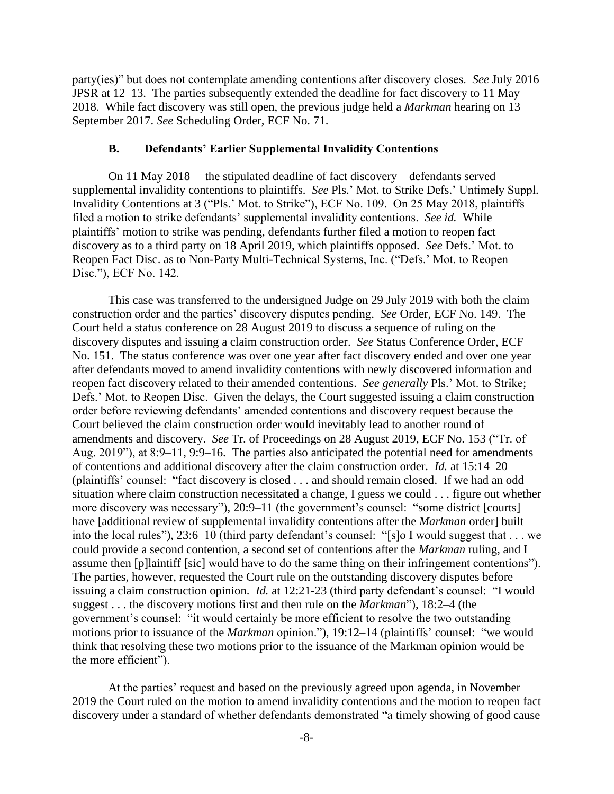party(ies)" but does not contemplate amending contentions after discovery closes. *See* July 2016 JPSR at 12–13. The parties subsequently extended the deadline for fact discovery to 11 May 2018. While fact discovery was still open, the previous judge held a *Markman* hearing on 13 September 2017. *See* Scheduling Order, ECF No. 71.

## **B. Defendants' Earlier Supplemental Invalidity Contentions**

On 11 May 2018— the stipulated deadline of fact discovery—defendants served supplemental invalidity contentions to plaintiffs. *See* Pls.' Mot. to Strike Defs.' Untimely Suppl. Invalidity Contentions at 3 ("Pls.' Mot. to Strike"), ECF No. 109. On 25 May 2018, plaintiffs filed a motion to strike defendants' supplemental invalidity contentions. *See id.* While plaintiffs' motion to strike was pending, defendants further filed a motion to reopen fact discovery as to a third party on 18 April 2019, which plaintiffs opposed. *See* Defs.' Mot. to Reopen Fact Disc. as to Non-Party Multi-Technical Systems, Inc. ("Defs.' Mot. to Reopen Disc."), ECF No. 142.

This case was transferred to the undersigned Judge on 29 July 2019 with both the claim construction order and the parties' discovery disputes pending. *See* Order, ECF No. 149. The Court held a status conference on 28 August 2019 to discuss a sequence of ruling on the discovery disputes and issuing a claim construction order. *See* Status Conference Order, ECF No. 151. The status conference was over one year after fact discovery ended and over one year after defendants moved to amend invalidity contentions with newly discovered information and reopen fact discovery related to their amended contentions. *See generally* Pls.' Mot. to Strike; Defs.' Mot. to Reopen Disc. Given the delays, the Court suggested issuing a claim construction order before reviewing defendants' amended contentions and discovery request because the Court believed the claim construction order would inevitably lead to another round of amendments and discovery. *See* Tr. of Proceedings on 28 August 2019, ECF No. 153 ("Tr. of Aug. 2019"), at 8:9–11, 9:9–16. The parties also anticipated the potential need for amendments of contentions and additional discovery after the claim construction order. *Id.* at 15:14–20 (plaintiffs' counsel: "fact discovery is closed . . . and should remain closed. If we had an odd situation where claim construction necessitated a change, I guess we could . . . figure out whether more discovery was necessary"), 20:9–11 (the government's counsel: "some district [courts] have [additional review of supplemental invalidity contentions after the *Markman* order] built into the local rules"), 23:6–10 (third party defendant's counsel: "[s]o I would suggest that . . . we could provide a second contention, a second set of contentions after the *Markman* ruling, and I assume then [p]laintiff [sic] would have to do the same thing on their infringement contentions"). The parties, however, requested the Court rule on the outstanding discovery disputes before issuing a claim construction opinion. *Id.* at 12:21-23 (third party defendant's counsel: "I would suggest . . . the discovery motions first and then rule on the *Markman*"), 18:2–4 (the government's counsel: "it would certainly be more efficient to resolve the two outstanding motions prior to issuance of the *Markman* opinion."), 19:12–14 (plaintiffs' counsel: "we would think that resolving these two motions prior to the issuance of the Markman opinion would be the more efficient").

At the parties' request and based on the previously agreed upon agenda, in November 2019 the Court ruled on the motion to amend invalidity contentions and the motion to reopen fact discovery under a standard of whether defendants demonstrated "a timely showing of good cause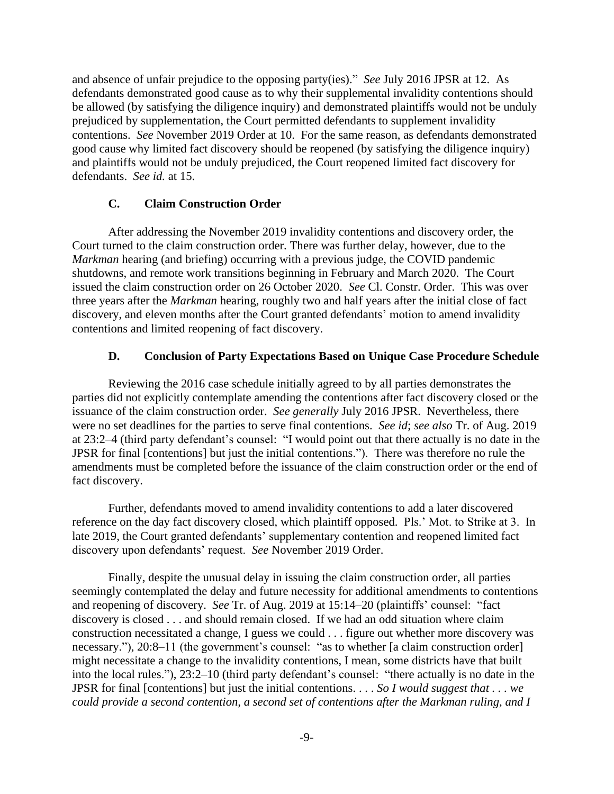and absence of unfair prejudice to the opposing party(ies)." *See* July 2016 JPSR at 12. As defendants demonstrated good cause as to why their supplemental invalidity contentions should be allowed (by satisfying the diligence inquiry) and demonstrated plaintiffs would not be unduly prejudiced by supplementation, the Court permitted defendants to supplement invalidity contentions. *See* November 2019 Order at 10. For the same reason, as defendants demonstrated good cause why limited fact discovery should be reopened (by satisfying the diligence inquiry) and plaintiffs would not be unduly prejudiced, the Court reopened limited fact discovery for defendants. *See id.* at 15.

## **C. Claim Construction Order**

After addressing the November 2019 invalidity contentions and discovery order, the Court turned to the claim construction order. There was further delay, however, due to the *Markman* hearing (and briefing) occurring with a previous judge, the COVID pandemic shutdowns, and remote work transitions beginning in February and March 2020. The Court issued the claim construction order on 26 October 2020. *See* Cl. Constr. Order. This was over three years after the *Markman* hearing, roughly two and half years after the initial close of fact discovery, and eleven months after the Court granted defendants' motion to amend invalidity contentions and limited reopening of fact discovery.

# **D. Conclusion of Party Expectations Based on Unique Case Procedure Schedule**

Reviewing the 2016 case schedule initially agreed to by all parties demonstrates the parties did not explicitly contemplate amending the contentions after fact discovery closed or the issuance of the claim construction order. *See generally* July 2016 JPSR. Nevertheless, there were no set deadlines for the parties to serve final contentions. *See id*; *see also* Tr. of Aug. 2019 at 23:2–4 (third party defendant's counsel: "I would point out that there actually is no date in the JPSR for final [contentions] but just the initial contentions."). There was therefore no rule the amendments must be completed before the issuance of the claim construction order or the end of fact discovery.

Further, defendants moved to amend invalidity contentions to add a later discovered reference on the day fact discovery closed, which plaintiff opposed. Pls.' Mot. to Strike at 3. In late 2019, the Court granted defendants' supplementary contention and reopened limited fact discovery upon defendants' request. *See* November 2019 Order.

Finally, despite the unusual delay in issuing the claim construction order, all parties seemingly contemplated the delay and future necessity for additional amendments to contentions and reopening of discovery. *See* Tr. of Aug. 2019 at 15:14–20 (plaintiffs' counsel: "fact discovery is closed . . . and should remain closed. If we had an odd situation where claim construction necessitated a change, I guess we could . . . figure out whether more discovery was necessary."), 20:8–11 (the government's counsel: "as to whether [a claim construction order] might necessitate a change to the invalidity contentions, I mean, some districts have that built into the local rules."), 23:2–10 (third party defendant's counsel: "there actually is no date in the JPSR for final [contentions] but just the initial contentions. . . . *So I would suggest that . . . we could provide a second contention, a second set of contentions after the Markman ruling, and I*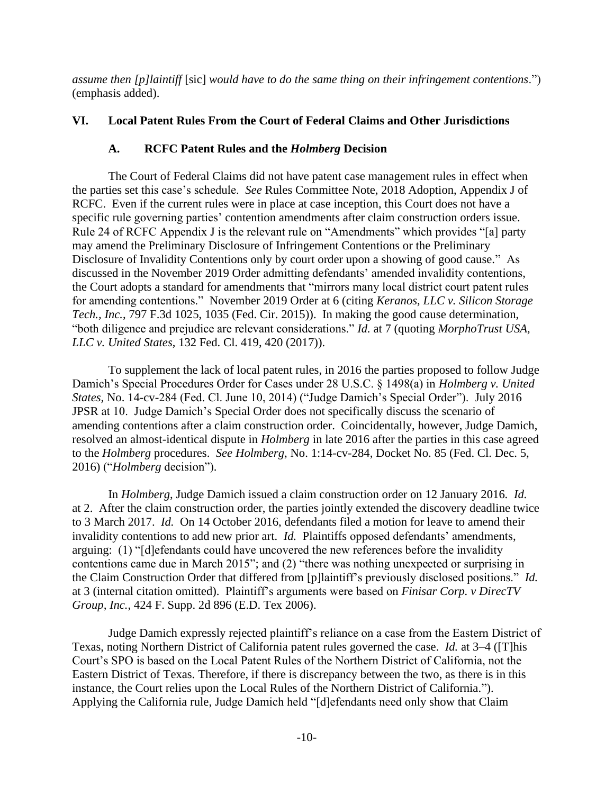*assume then [p]laintiff* [sic] *would have to do the same thing on their infringement contentions*.") (emphasis added).

# **VI. Local Patent Rules From the Court of Federal Claims and Other Jurisdictions**

# **A. RCFC Patent Rules and the** *Holmberg* **Decision**

The Court of Federal Claims did not have patent case management rules in effect when the parties set this case's schedule. *See* Rules Committee Note, 2018 Adoption, Appendix J of RCFC. Even if the current rules were in place at case inception, this Court does not have a specific rule governing parties' contention amendments after claim construction orders issue. Rule 24 of RCFC Appendix J is the relevant rule on "Amendments" which provides "[a] party may amend the Preliminary Disclosure of Infringement Contentions or the Preliminary Disclosure of Invalidity Contentions only by court order upon a showing of good cause." As discussed in the November 2019 Order admitting defendants' amended invalidity contentions, the Court adopts a standard for amendments that "mirrors many local district court patent rules for amending contentions." November 2019 Order at 6 (citing *Keranos, LLC v. Silicon Storage Tech., Inc.*, 797 F.3d 1025, 1035 (Fed. Cir. 2015)). In making the good cause determination, "both diligence and prejudice are relevant considerations." *Id.* at 7 (quoting *MorphoTrust USA, LLC v. United States*, 132 Fed. Cl. 419, 420 (2017)).

To supplement the lack of local patent rules, in 2016 the parties proposed to follow Judge Damich's Special Procedures Order for Cases under 28 U.S.C. § 1498(a) in *Holmberg v. United States,* No. 14-cv-284 (Fed. Cl. June 10, 2014) ("Judge Damich's Special Order"). July 2016 JPSR at 10. Judge Damich's Special Order does not specifically discuss the scenario of amending contentions after a claim construction order. Coincidentally, however, Judge Damich, resolved an almost-identical dispute in *Holmberg* in late 2016 after the parties in this case agreed to the *Holmberg* procedures. *See Holmberg*, No. 1:14-cv-284, Docket No. 85 (Fed. Cl. Dec. 5, 2016) ("*Holmberg* decision").

In *Holmberg*, Judge Damich issued a claim construction order on 12 January 2016*. Id.*  at 2. After the claim construction order, the parties jointly extended the discovery deadline twice to 3 March 2017. *Id.* On 14 October 2016, defendants filed a motion for leave to amend their invalidity contentions to add new prior art. *Id.* Plaintiffs opposed defendants' amendments, arguing: (1) "[d]efendants could have uncovered the new references before the invalidity contentions came due in March 2015"; and (2) "there was nothing unexpected or surprising in the Claim Construction Order that differed from [p]laintiff's previously disclosed positions." *Id.* at 3 (internal citation omitted).Plaintiff's arguments were based on *Finisar Corp. v DirecTV Group, Inc.*, 424 F. Supp. 2d 896 (E.D. Tex 2006).

Judge Damich expressly rejected plaintiff's reliance on a case from the Eastern District of Texas, noting Northern District of California patent rules governed the case. *Id.* at 3–4 ([T]his Court's SPO is based on the Local Patent Rules of the Northern District of California, not the Eastern District of Texas. Therefore, if there is discrepancy between the two, as there is in this instance, the Court relies upon the Local Rules of the Northern District of California."). Applying the California rule, Judge Damich held "[d]efendants need only show that Claim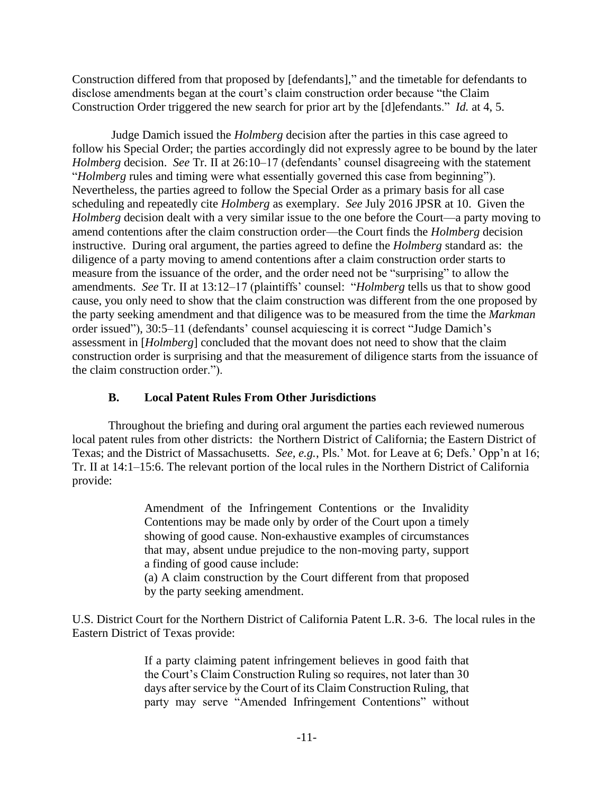Construction differed from that proposed by [defendants]," and the timetable for defendants to disclose amendments began at the court's claim construction order because "the Claim Construction Order triggered the new search for prior art by the [d]efendants." *Id.* at 4, 5.

Judge Damich issued the *Holmberg* decision after the parties in this case agreed to follow his Special Order; the parties accordingly did not expressly agree to be bound by the later *Holmberg* decision. *See* Tr. II at 26:10–17 (defendants' counsel disagreeing with the statement "*Holmberg* rules and timing were what essentially governed this case from beginning"). Nevertheless, the parties agreed to follow the Special Order as a primary basis for all case scheduling and repeatedly cite *Holmberg* as exemplary. *See* July 2016 JPSR at 10. Given the *Holmberg* decision dealt with a very similar issue to the one before the Court—a party moving to amend contentions after the claim construction order—the Court finds the *Holmberg* decision instructive. During oral argument, the parties agreed to define the *Holmberg* standard as: the diligence of a party moving to amend contentions after a claim construction order starts to measure from the issuance of the order, and the order need not be "surprising" to allow the amendments. *See* Tr. II at 13:12–17 (plaintiffs' counsel: "*Holmberg* tells us that to show good cause, you only need to show that the claim construction was different from the one proposed by the party seeking amendment and that diligence was to be measured from the time the *Markman* order issued"), 30:5–11 (defendants' counsel acquiescing it is correct "Judge Damich's assessment in [*Holmberg*] concluded that the movant does not need to show that the claim construction order is surprising and that the measurement of diligence starts from the issuance of the claim construction order.").

# **B. Local Patent Rules From Other Jurisdictions**

Throughout the briefing and during oral argument the parties each reviewed numerous local patent rules from other districts: the Northern District of California; the Eastern District of Texas; and the District of Massachusetts. *See, e.g.*, Pls.' Mot. for Leave at 6; Defs.' Opp'n at 16; Tr. II at 14:1–15:6. The relevant portion of the local rules in the Northern District of California provide:

> Amendment of the Infringement Contentions or the Invalidity Contentions may be made only by order of the Court upon a timely showing of good cause. Non-exhaustive examples of circumstances that may, absent undue prejudice to the non-moving party, support a finding of good cause include:

> (a) A claim construction by the Court different from that proposed by the party seeking amendment.

U.S. District Court for the Northern District of California Patent L.R. 3-6. The local rules in the Eastern District of Texas provide:

> If a party claiming patent infringement believes in good faith that the Court's Claim Construction Ruling so requires, not later than 30 days after service by the Court of its Claim Construction Ruling, that party may serve "Amended Infringement Contentions" without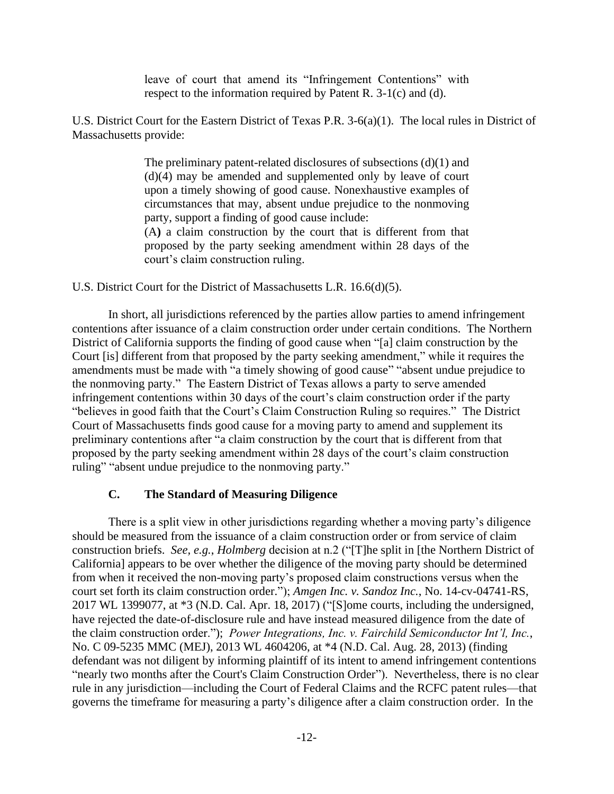leave of court that amend its "Infringement Contentions" with respect to the information required by Patent R. 3-1(c) and (d).

U.S. District Court for the Eastern District of Texas P.R. 3-6(a)(1). The local rules in District of Massachusetts provide:

> The preliminary patent-related disclosures of subsections (d)(1) and (d)(4) may be amended and supplemented only by leave of court upon a timely showing of good cause. Nonexhaustive examples of circumstances that may, absent undue prejudice to the nonmoving party, support a finding of good cause include: (A**)** a claim construction by the court that is different from that proposed by the party seeking amendment within 28 days of the court's claim construction ruling.

U.S. District Court for the District of Massachusetts L.R. 16.6(d)(5).

In short, all jurisdictions referenced by the parties allow parties to amend infringement contentions after issuance of a claim construction order under certain conditions. The Northern District of California supports the finding of good cause when "[a] claim construction by the Court [is] different from that proposed by the party seeking amendment," while it requires the amendments must be made with "a timely showing of good cause" "absent undue prejudice to the nonmoving party." The Eastern District of Texas allows a party to serve amended infringement contentions within 30 days of the court's claim construction order if the party "believes in good faith that the Court's Claim Construction Ruling so requires." The District Court of Massachusetts finds good cause for a moving party to amend and supplement its preliminary contentions after "a claim construction by the court that is different from that proposed by the party seeking amendment within 28 days of the court's claim construction ruling" "absent undue prejudice to the nonmoving party."

#### **C. The Standard of Measuring Diligence**

There is a split view in other jurisdictions regarding whether a moving party's diligence should be measured from the issuance of a claim construction order or from service of claim construction briefs. *See, e.g.*, *Holmberg* decision at n.2 ("[T]he split in [the Northern District of California] appears to be over whether the diligence of the moving party should be determined from when it received the non-moving party's proposed claim constructions versus when the court set forth its claim construction order."); *Amgen Inc. v. Sandoz Inc.*, No. 14-cv-04741-RS, 2017 WL 1399077, at \*3 (N.D. Cal. Apr. 18, 2017) ("[S]ome courts, including the undersigned, have rejected the date-of-disclosure rule and have instead measured diligence from the date of the claim construction order."); *Power Integrations, Inc. v. Fairchild Semiconductor Int'l, Inc.*, No. C 09-5235 MMC (MEJ), 2013 WL 4604206, at \*4 (N.D. Cal. Aug. 28, 2013) (finding defendant was not diligent by informing plaintiff of its intent to amend infringement contentions "nearly two months after the Court's Claim Construction Order"). Nevertheless, there is no clear rule in any jurisdiction—including the Court of Federal Claims and the RCFC patent rules—that governs the timeframe for measuring a party's diligence after a claim construction order. In the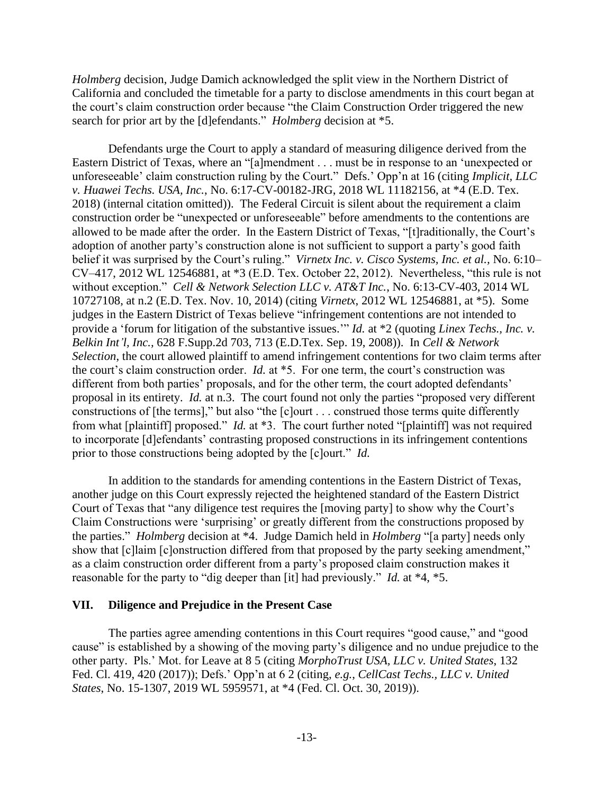*Holmberg* decision, Judge Damich acknowledged the split view in the Northern District of California and concluded the timetable for a party to disclose amendments in this court began at the court's claim construction order because "the Claim Construction Order triggered the new search for prior art by the [d]efendants." *Holmberg* decision at \*5.

Defendants urge the Court to apply a standard of measuring diligence derived from the Eastern District of Texas, where an "[a]mendment . . . must be in response to an 'unexpected or unforeseeable' claim construction ruling by the Court." Defs.' Opp'n at 16 (citing *Implicit, LLC v. Huawei Techs. USA, Inc.*, No. 6:17-CV-00182-JRG, 2018 WL 11182156, at \*4 (E.D. Tex. 2018) (internal citation omitted)). The Federal Circuit is silent about the requirement a claim construction order be "unexpected or unforeseeable" before amendments to the contentions are allowed to be made after the order. In the Eastern District of Texas, "[t]raditionally, the Court's adoption of another party's construction alone is not sufficient to support a party's good faith belief it was surprised by the Court's ruling." *Virnetx Inc. v. Cisco Systems, Inc. et al.,* No. 6:10– CV–417, 2012 WL 12546881, at \*3 (E.D. Tex. October 22, 2012). Nevertheless, "this rule is not without exception." *Cell & Network Selection LLC v. AT&T Inc.*, No. 6:13-CV-403, 2014 WL 10727108, at n.2 (E.D. Tex. Nov. 10, 2014) (citing *Virnetx*, 2012 WL 12546881, at \*5). Some judges in the Eastern District of Texas believe "infringement contentions are not intended to provide a 'forum for litigation of the substantive issues.'" *Id.* at \*2 (quoting *[Linex Techs., Inc. v.](https://1.next.westlaw.com/Link/Document/FullText?findType=Y&serNum=2017149307&pubNum=0004637&originatingDoc=Ie217b90092f011e59a139b8f80c70067&refType=RP&fi=co_pp_sp_4637_713&originationContext=document&transitionType=DocumentItem&contextData=(sc.DocLink)#co_pp_sp_4637_713)  Belkin Int'l, Inc.,* [628 F.Supp.2d 703, 713 \(E.D.Tex. Sep. 19, 2008\)\)](https://1.next.westlaw.com/Link/Document/FullText?findType=Y&serNum=2017149307&pubNum=0004637&originatingDoc=Ie217b90092f011e59a139b8f80c70067&refType=RP&fi=co_pp_sp_4637_713&originationContext=document&transitionType=DocumentItem&contextData=(sc.DocLink)#co_pp_sp_4637_713). In *Cell & Network Selection*, the court allowed plaintiff to amend infringement contentions for two claim terms after the court's claim construction order. *Id.* at \*5. For one term, the court's construction was different from both parties' proposals, and for the other term, the court adopted defendants' proposal in its entirety. *Id.* at n.3. The court found not only the parties "proposed very different constructions of [the terms]," but also "the [c]ourt . . . construed those terms quite differently from what [plaintiff] proposed." *Id.* at \*3. The court further noted "[plaintiff] was not required to incorporate [d]efendants' contrasting proposed constructions in its infringement contentions prior to those constructions being adopted by the [c]ourt." *Id.*

In addition to the standards for amending contentions in the Eastern District of Texas, another judge on this Court expressly rejected the heightened standard of the Eastern District Court of Texas that "any diligence test requires the [moving party] to show why the Court's Claim Constructions were 'surprising' or greatly different from the constructions proposed by the parties." *Holmberg* decision at \*4. Judge Damich held in *Holmberg* "[a party] needs only show that  $[c]$ laim  $[c]$ onstruction differed from that proposed by the party seeking amendment," as a claim construction order different from a party's proposed claim construction makes it reasonable for the party to "dig deeper than [it] had previously." *Id.* at \*4, \*5.

#### **VII. Diligence and Prejudice in the Present Case**

The parties agree amending contentions in this Court requires "good cause," and "good cause" is established by a showing of the moving party's diligence and no undue prejudice to the other party. Pls.' Mot. for Leave at 8 5 (citing *MorphoTrust USA, LLC v. United States*, 132 Fed. Cl. 419, 420 (2017)); Defs.' Opp'n at 6 2 (citing, *e.g.*, *CellCast Techs., LLC v. United States*, No. 15-1307, 2019 WL 5959571, at \*4 (Fed. Cl. Oct. 30, 2019)).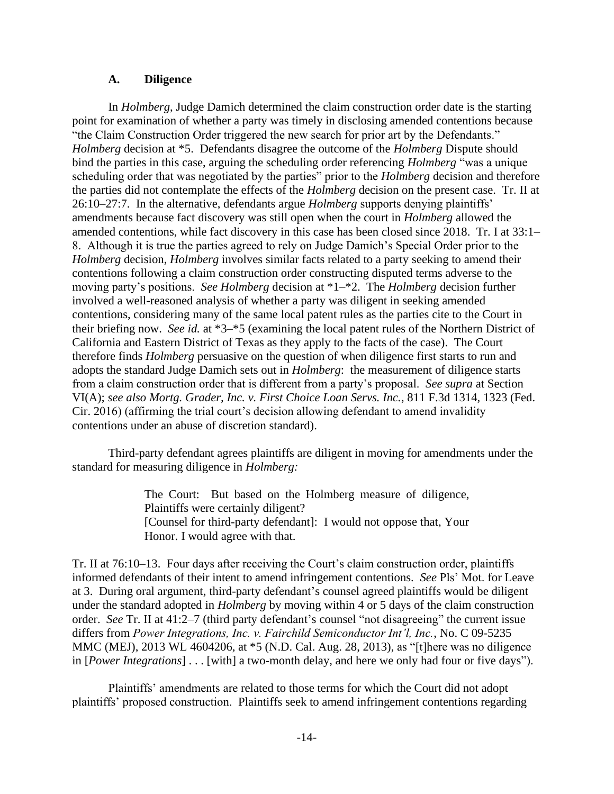### **A. Diligence**

In *Holmberg*, Judge Damich determined the claim construction order date is the starting point for examination of whether a party was timely in disclosing amended contentions because "the Claim Construction Order triggered the new search for prior art by the Defendants." *Holmberg* decision at \*5. Defendants disagree the outcome of the *Holmberg* Dispute should bind the parties in this case, arguing the scheduling order referencing *Holmberg* "was a unique scheduling order that was negotiated by the parties" prior to the *Holmberg* decision and therefore the parties did not contemplate the effects of the *Holmberg* decision on the present case. Tr. II at 26:10–27:7. In the alternative, defendants argue *Holmberg* supports denying plaintiffs' amendments because fact discovery was still open when the court in *Holmberg* allowed the amended contentions, while fact discovery in this case has been closed since 2018. Tr. I at 33:1– 8. Although it is true the parties agreed to rely on Judge Damich's Special Order prior to the *Holmberg* decision, *Holmberg* involves similar facts related to a party seeking to amend their contentions following a claim construction order constructing disputed terms adverse to the moving party's positions. *See Holmberg* decision at \*1–\*2. The *Holmberg* decision further involved a well-reasoned analysis of whether a party was diligent in seeking amended contentions, considering many of the same local patent rules as the parties cite to the Court in their briefing now. *See id.* at \*3–\*5 (examining the local patent rules of the Northern District of California and Eastern District of Texas as they apply to the facts of the case). The Court therefore finds *Holmberg* persuasive on the question of when diligence first starts to run and adopts the standard Judge Damich sets out in *Holmberg*: the measurement of diligence starts from a claim construction order that is different from a party's proposal. *See supra* at Section VI(A); *see also Mortg. Grader, Inc. v. First Choice Loan Servs. Inc.*, 811 F.3d 1314, 1323 (Fed. Cir. 2016) (affirming the trial court's decision allowing defendant to amend invalidity contentions under an abuse of discretion standard).

Third-party defendant agrees plaintiffs are diligent in moving for amendments under the standard for measuring diligence in *Holmberg:* 

> The Court: But based on the Holmberg measure of diligence, Plaintiffs were certainly diligent? [Counsel for third-party defendant]: I would not oppose that, Your Honor. I would agree with that.

Tr. II at 76:10–13. Four days after receiving the Court's claim construction order, plaintiffs informed defendants of their intent to amend infringement contentions. *See* Pls' Mot. for Leave at 3. During oral argument, third-party defendant's counsel agreed plaintiffs would be diligent under the standard adopted in *Holmberg* by moving within 4 or 5 days of the claim construction order. *See* Tr. II at 41:2–7 (third party defendant's counsel "not disagreeing" the current issue differs from *Power Integrations, Inc. v. Fairchild Semiconductor Int'l, Inc.*, No. C 09-5235 MMC (MEJ), 2013 WL 4604206, at \*5 (N.D. Cal. Aug. 28, 2013), as "[t]here was no diligence in [*Power Integrations*] . . . [with] a two-month delay, and here we only had four or five days").

Plaintiffs' amendments are related to those terms for which the Court did not adopt plaintiffs' proposed construction. Plaintiffs seek to amend infringement contentions regarding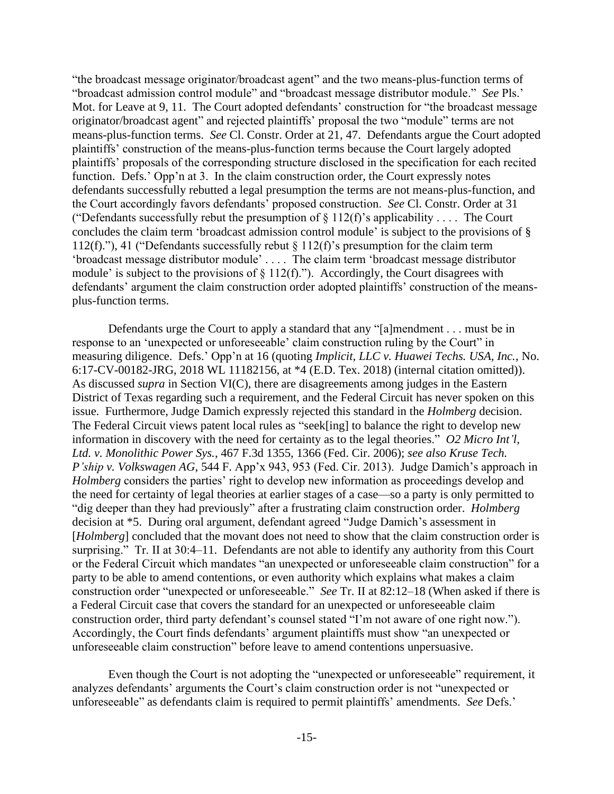"the broadcast message originator/broadcast agent" and the two means-plus-function terms of "broadcast admission control module" and "broadcast message distributor module." *See* Pls.' Mot. for Leave at 9, 11. The Court adopted defendants' construction for "the broadcast message originator/broadcast agent" and rejected plaintiffs' proposal the two "module" terms are not means-plus-function terms. *See* Cl. Constr. Order at 21, 47. Defendants argue the Court adopted plaintiffs' construction of the means-plus-function terms because the Court largely adopted plaintiffs' proposals of the corresponding structure disclosed in the specification for each recited function. Defs.' Opp'n at 3. In the claim construction order, the Court expressly notes defendants successfully rebutted a legal presumption the terms are not means-plus-function, and the Court accordingly favors defendants' proposed construction. *See* Cl. Constr. Order at 31 ("Defendants successfully rebut the presumption of  $\S 112(f)$ 's applicability .... The Court concludes the claim term 'broadcast admission control module' is subject to the provisions of § 112(f)."), 41 ("Defendants successfully rebut § 112(f)'s presumption for the claim term 'broadcast message distributor module' . . . . The claim term 'broadcast message distributor module' is subject to the provisions of  $\S 112(f)$ ."). Accordingly, the Court disagrees with defendants' argument the claim construction order adopted plaintiffs' construction of the meansplus-function terms.

Defendants urge the Court to apply a standard that any "[a]mendment . . . must be in response to an 'unexpected or unforeseeable' claim construction ruling by the Court" in measuring diligence. Defs.' Opp'n at 16 (quoting *Implicit, LLC v. Huawei Techs. USA, Inc.*, No. 6:17-CV-00182-JRG, 2018 WL 11182156, at \*4 (E.D. Tex. 2018) (internal citation omitted)). As discussed *supra* in Section VI(C), there are disagreements among judges in the Eastern District of Texas regarding such a requirement, and the Federal Circuit has never spoken on this issue. Furthermore, Judge Damich expressly rejected this standard in the *Holmberg* decision. The Federal Circuit views patent local rules as "seek[ing] to balance the right to develop new information in discovery with the need for certainty as to the legal theories." *O2 Micro Int'l, Ltd. v. Monolithic Power Sys.*, 467 F.3d 1355, 1366 (Fed. Cir. 2006); *see also Kruse Tech. P'ship v. Volkswagen AG*, 544 F. App'x 943, 953 (Fed. Cir. 2013). Judge Damich's approach in *Holmberg* considers the parties' right to develop new information as proceedings develop and the need for certainty of legal theories at earlier stages of a case—so a party is only permitted to "dig deeper than they had previously" after a frustrating claim construction order. *Holmberg*  decision at \*5. During oral argument, defendant agreed "Judge Damich's assessment in [*Holmberg*] concluded that the movant does not need to show that the claim construction order is surprising." Tr. II at 30:4–11. Defendants are not able to identify any authority from this Court or the Federal Circuit which mandates "an unexpected or unforeseeable claim construction" for a party to be able to amend contentions, or even authority which explains what makes a claim construction order "unexpected or unforeseeable." *See* Tr. II at 82:12–18 (When asked if there is a Federal Circuit case that covers the standard for an unexpected or unforeseeable claim construction order, third party defendant's counsel stated "I'm not aware of one right now."). Accordingly, the Court finds defendants' argument plaintiffs must show "an unexpected or unforeseeable claim construction" before leave to amend contentions unpersuasive.

Even though the Court is not adopting the "unexpected or unforeseeable" requirement, it analyzes defendants' arguments the Court's claim construction order is not "unexpected or unforeseeable" as defendants claim is required to permit plaintiffs' amendments. *See* Defs.'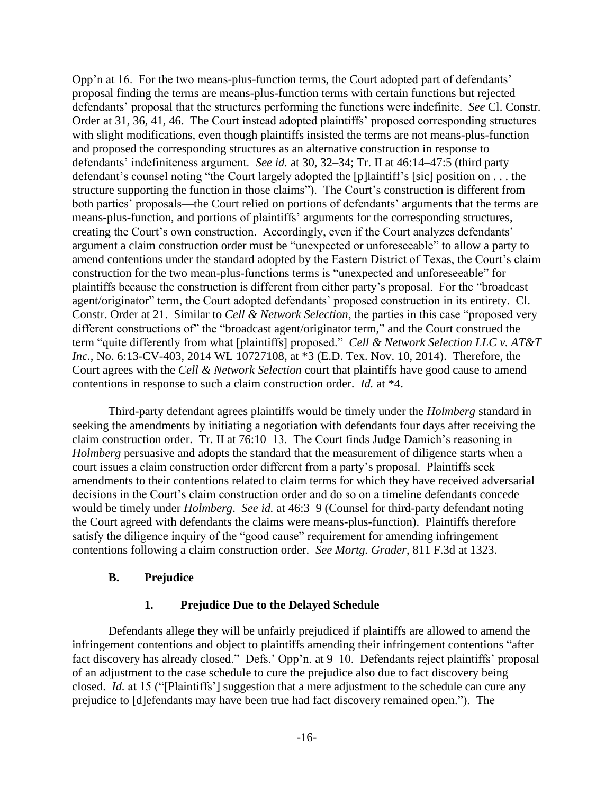Opp'n at 16. For the two means-plus-function terms, the Court adopted part of defendants' proposal finding the terms are means-plus-function terms with certain functions but rejected defendants' proposal that the structures performing the functions were indefinite. *See* Cl. Constr. Order at 31, 36, 41, 46. The Court instead adopted plaintiffs' proposed corresponding structures with slight modifications, even though plaintiffs insisted the terms are not means-plus-function and proposed the corresponding structures as an alternative construction in response to defendants' indefiniteness argument. *See id.* at 30, 32–34; Tr. II at 46:14–47:5 (third party defendant's counsel noting "the Court largely adopted the [p]laintiff's [sic] position on . . . the structure supporting the function in those claims"). The Court's construction is different from both parties' proposals—the Court relied on portions of defendants' arguments that the terms are means-plus-function, and portions of plaintiffs' arguments for the corresponding structures, creating the Court's own construction. Accordingly, even if the Court analyzes defendants' argument a claim construction order must be "unexpected or unforeseeable" to allow a party to amend contentions under the standard adopted by the Eastern District of Texas, the Court's claim construction for the two mean-plus-functions terms is "unexpected and unforeseeable" for plaintiffs because the construction is different from either party's proposal. For the "broadcast agent/originator" term, the Court adopted defendants' proposed construction in its entirety. Cl. Constr. Order at 21. Similar to *Cell & Network Selection*, the parties in this case "proposed very different constructions of" the "broadcast agent/originator term," and the Court construed the term "quite differently from what [plaintiffs] proposed." *Cell & Network Selection LLC v. AT&T Inc.*, No. 6:13-CV-403, 2014 WL 10727108, at \*3 (E.D. Tex. Nov. 10, 2014). Therefore, the Court agrees with the *Cell & Network Selection* court that plaintiffs have good cause to amend contentions in response to such a claim construction order. *Id.* at \*4.

Third-party defendant agrees plaintiffs would be timely under the *Holmberg* standard in seeking the amendments by initiating a negotiation with defendants four days after receiving the claim construction order. Tr. II at 76:10–13. The Court finds Judge Damich's reasoning in *Holmberg* persuasive and adopts the standard that the measurement of diligence starts when a court issues a claim construction order different from a party's proposal. Plaintiffs seek amendments to their contentions related to claim terms for which they have received adversarial decisions in the Court's claim construction order and do so on a timeline defendants concede would be timely under *Holmberg*. *See id.* at 46:3–9 (Counsel for third-party defendant noting the Court agreed with defendants the claims were means-plus-function). Plaintiffs therefore satisfy the diligence inquiry of the "good cause" requirement for amending infringement contentions following a claim construction order. *See Mortg. Grader*, 811 F.3d at 1323.

## **B. Prejudice**

# **1. Prejudice Due to the Delayed Schedule**

Defendants allege they will be unfairly prejudiced if plaintiffs are allowed to amend the infringement contentions and object to plaintiffs amending their infringement contentions "after fact discovery has already closed." Defs.' Opp'n. at 9–10. Defendants reject plaintiffs' proposal of an adjustment to the case schedule to cure the prejudice also due to fact discovery being closed. *Id.* at 15 ("[Plaintiffs'] suggestion that a mere adjustment to the schedule can cure any prejudice to [d]efendants may have been true had fact discovery remained open."). The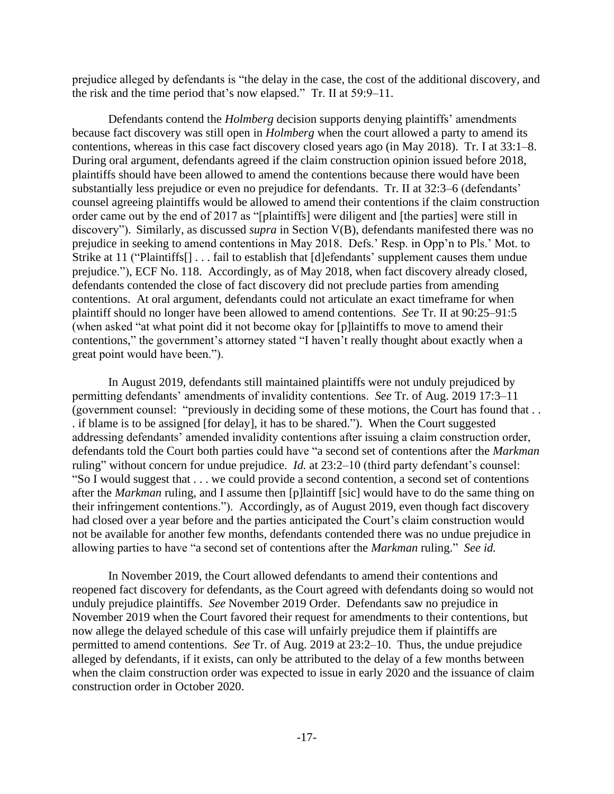prejudice alleged by defendants is "the delay in the case, the cost of the additional discovery, and the risk and the time period that's now elapsed." Tr. II at 59:9–11.

Defendants contend the *Holmberg* decision supports denying plaintiffs' amendments because fact discovery was still open in *Holmberg* when the court allowed a party to amend its contentions*,* whereas in this case fact discovery closed years ago (in May 2018). Tr. I at 33:1–8. During oral argument, defendants agreed if the claim construction opinion issued before 2018, plaintiffs should have been allowed to amend the contentions because there would have been substantially less prejudice or even no prejudice for defendants. Tr. II at 32:3–6 (defendants' counsel agreeing plaintiffs would be allowed to amend their contentions if the claim construction order came out by the end of 2017 as "[plaintiffs] were diligent and [the parties] were still in discovery"). Similarly, as discussed *supra* in Section V(B), defendants manifested there was no prejudice in seeking to amend contentions in May 2018. Defs.' Resp. in Opp'n to Pls.' Mot. to Strike at 11 ("Plaintiffs[] . . . fail to establish that [d]efendants' supplement causes them undue prejudice."), ECF No. 118. Accordingly, as of May 2018, when fact discovery already closed, defendants contended the close of fact discovery did not preclude parties from amending contentions. At oral argument, defendants could not articulate an exact timeframe for when plaintiff should no longer have been allowed to amend contentions. *See* Tr. II at 90:25–91:5 (when asked "at what point did it not become okay for [p]laintiffs to move to amend their contentions," the government's attorney stated "I haven't really thought about exactly when a great point would have been.").

In August 2019, defendants still maintained plaintiffs were not unduly prejudiced by permitting defendants' amendments of invalidity contentions. *See* Tr. of Aug. 2019 17:3–11 (government counsel: "previously in deciding some of these motions, the Court has found that . . . if blame is to be assigned [for delay], it has to be shared."). When the Court suggested addressing defendants' amended invalidity contentions after issuing a claim construction order, defendants told the Court both parties could have "a second set of contentions after the *Markman* ruling" without concern for undue prejudice. *Id.* at 23:2–10 (third party defendant's counsel: "So I would suggest that . . . we could provide a second contention, a second set of contentions after the *Markman* ruling, and I assume then [p]laintiff [sic] would have to do the same thing on their infringement contentions."). Accordingly, as of August 2019, even though fact discovery had closed over a year before and the parties anticipated the Court's claim construction would not be available for another few months, defendants contended there was no undue prejudice in allowing parties to have "a second set of contentions after the *Markman* ruling." *See id.* 

In November 2019, the Court allowed defendants to amend their contentions and reopened fact discovery for defendants, as the Court agreed with defendants doing so would not unduly prejudice plaintiffs. *See* November 2019 Order. Defendants saw no prejudice in November 2019 when the Court favored their request for amendments to their contentions, but now allege the delayed schedule of this case will unfairly prejudice them if plaintiffs are permitted to amend contentions. *See* Tr. of Aug. 2019 at 23:2–10. Thus, the undue prejudice alleged by defendants, if it exists, can only be attributed to the delay of a few months between when the claim construction order was expected to issue in early 2020 and the issuance of claim construction order in October 2020.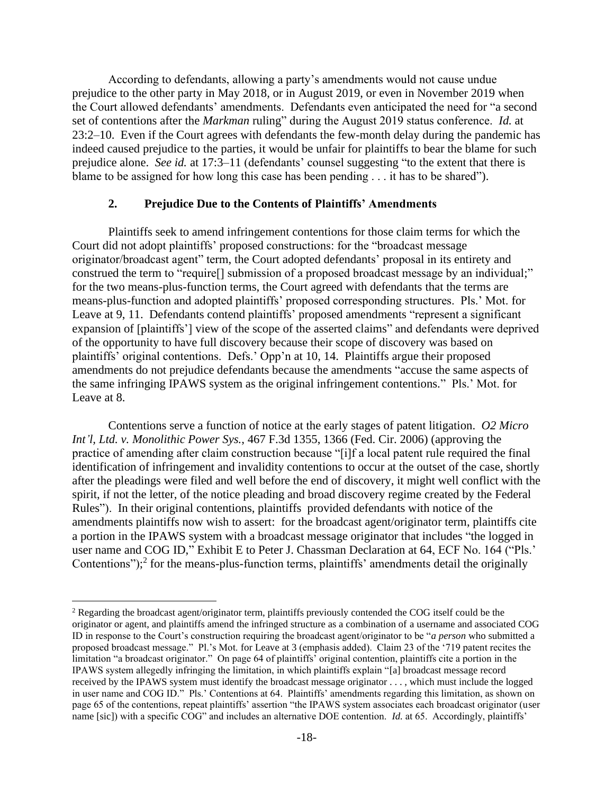According to defendants, allowing a party's amendments would not cause undue prejudice to the other party in May 2018, or in August 2019, or even in November 2019 when the Court allowed defendants' amendments. Defendants even anticipated the need for "a second set of contentions after the *Markman* ruling" during the August 2019 status conference. *Id.* at 23:2–10. Even if the Court agrees with defendants the few-month delay during the pandemic has indeed caused prejudice to the parties, it would be unfair for plaintiffs to bear the blame for such prejudice alone. *See id.* at 17:3–11 (defendants' counsel suggesting "to the extent that there is blame to be assigned for how long this case has been pending . . . it has to be shared").

#### **2. Prejudice Due to the Contents of Plaintiffs' Amendments**

Plaintiffs seek to amend infringement contentions for those claim terms for which the Court did not adopt plaintiffs' proposed constructions: for the "broadcast message originator/broadcast agent" term, the Court adopted defendants' proposal in its entirety and construed the term to "require<sup>[]</sup> submission of a proposed broadcast message by an individual;" for the two means-plus-function terms, the Court agreed with defendants that the terms are means-plus-function and adopted plaintiffs' proposed corresponding structures. Pls.' Mot. for Leave at 9, 11. Defendants contend plaintiffs' proposed amendments "represent a significant expansion of [plaintiffs'] view of the scope of the asserted claims" and defendants were deprived of the opportunity to have full discovery because their scope of discovery was based on plaintiffs' original contentions. Defs.' Opp'n at 10, 14. Plaintiffs argue their proposed amendments do not prejudice defendants because the amendments "accuse the same aspects of the same infringing IPAWS system as the original infringement contentions." Pls.' Mot. for Leave at 8.

Contentions serve a function of notice at the early stages of patent litigation. *O2 Micro Int'l, Ltd. v. Monolithic Power Sys.*, 467 F.3d 1355, 1366 (Fed. Cir. 2006) (approving the practice of amending after claim construction because "[i]f a local patent rule required the final identification of infringement and invalidity contentions to occur at the outset of the case, shortly after the pleadings were filed and well before the end of discovery, it might well conflict with the spirit, if not the letter, of the notice pleading and broad discovery regime created by the Federal Rules"). In their original contentions, plaintiffs provided defendants with notice of the amendments plaintiffs now wish to assert: for the broadcast agent/originator term, plaintiffs cite a portion in the IPAWS system with a broadcast message originator that includes "the logged in user name and COG ID," Exhibit E to Peter J. Chassman Declaration at 64, ECF No. 164 ("Pls.' Contentions");<sup>2</sup> for the means-plus-function terms, plaintiffs' amendments detail the originally

<sup>&</sup>lt;sup>2</sup> Regarding the broadcast agent/originator term, plaintiffs previously contended the COG itself could be the originator or agent, and plaintiffs amend the infringed structure as a combination of a username and associated COG ID in response to the Court's construction requiring the broadcast agent/originator to be "*a person* who submitted a proposed broadcast message." Pl.'s Mot. for Leave at 3 (emphasis added). Claim 23 of the '719 patent recites the limitation "a broadcast originator." On page 64 of plaintiffs' original contention, plaintiffs cite a portion in the IPAWS system allegedly infringing the limitation, in which plaintiffs explain "[a] broadcast message record received by the IPAWS system must identify the broadcast message originator . . . , which must include the logged in user name and COG ID." Pls.' Contentions at 64. Plaintiffs' amendments regarding this limitation, as shown on page 65 of the contentions, repeat plaintiffs' assertion "the IPAWS system associates each broadcast originator (user name [sic]) with a specific COG" and includes an alternative DOE contention. *Id.* at 65. Accordingly, plaintiffs'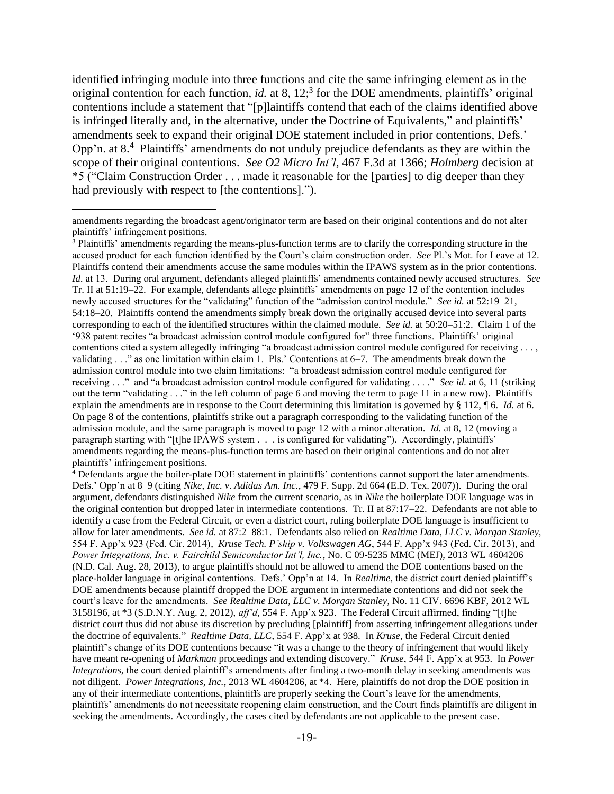identified infringing module into three functions and cite the same infringing element as in the original contention for each function, *id.* at 8, 12;<sup>3</sup> for the DOE amendments, plaintiffs' original contentions include a statement that "[p]laintiffs contend that each of the claims identified above is infringed literally and, in the alternative, under the Doctrine of Equivalents," and plaintiffs' amendments seek to expand their original DOE statement included in prior contentions, Defs.' Opp'n. at 8.<sup>4</sup> Plaintiffs' amendments do not unduly prejudice defendants as they are within the scope of their original contentions. *See O2 Micro Int'l,* 467 F.3d at 1366; *Holmberg* decision at \*5 ("Claim Construction Order . . . made it reasonable for the [parties] to dig deeper than they had previously with respect to [the contentions].").

amendments regarding the broadcast agent/originator term are based on their original contentions and do not alter plaintiffs' infringement positions.

<sup>3</sup> Plaintiffs' amendments regarding the means-plus-function terms are to clarify the corresponding structure in the accused product for each function identified by the Court's claim construction order. *See* Pl.'s Mot. for Leave at 12. Plaintiffs contend their amendments accuse the same modules within the IPAWS system as in the prior contentions. *Id.* at 13. During oral argument, defendants alleged plaintiffs' amendments contained newly accused structures. *See*  Tr. II at 51:19–22. For example, defendants allege plaintiffs' amendments on page 12 of the contention includes newly accused structures for the "validating" function of the "admission control module." *See id.* at 52:19–21, 54:18–20. Plaintiffs contend the amendments simply break down the originally accused device into several parts corresponding to each of the identified structures within the claimed module. *See id.* at 50:20–51:2. Claim 1 of the '938 patent recites "a broadcast admission control module configured for" three functions. Plaintiffs' original contentions cited a system allegedly infringing "a broadcast admission control module configured for receiving . . . , validating . . ." as one limitation within claim 1. Pls.' Contentions at 6–7. The amendments break down the admission control module into two claim limitations: "a broadcast admission control module configured for receiving . . ." and "a broadcast admission control module configured for validating . . . ." *See id.* at 6, 11 (striking out the term "validating . . ." in the left column of page 6 and moving the term to page 11 in a new row). Plaintiffs explain the amendments are in response to the Court determining this limitation is governed by § 112, ¶ 6. *Id.* at 6. On page 8 of the contentions, plaintiffs strike out a paragraph corresponding to the validating function of the admission module, and the same paragraph is moved to page 12 with a minor alteration. *Id.* at 8, 12 (moving a paragraph starting with "[t]he IPAWS system . . . is configured for validating"). Accordingly, plaintiffs' amendments regarding the means-plus-function terms are based on their original contentions and do not alter plaintiffs' infringement positions.

 $4$  Defendants argue the boiler-plate DOE statement in plaintiffs' contentions cannot support the later amendments. Defs.' Opp'n at 8–9 (citing *Nike, Inc. v. Adidas Am. Inc.*, 479 F. Supp. 2d 664 (E.D. Tex. 2007)). During the oral argument, defendants distinguished *Nike* from the current scenario, as in *Nike* the boilerplate DOE language was in the original contention but dropped later in intermediate contentions. Tr. II at 87:17–22. Defendants are not able to identify a case from the Federal Circuit, or even a district court, ruling boilerplate DOE language is insufficient to allow for later amendments. *See id.* at 87:2–88:1. Defendants also relied on *Realtime Data, LLC v. Morgan Stanley,*  554 F. App'x 923 (Fed. Cir. 2014), *Kruse Tech. P'ship v. Volkswagen AG*, 544 F. App'x 943 (Fed. Cir. 2013), and *Power Integrations, Inc. v. Fairchild Semiconductor Int'l, Inc.*, No. C 09-5235 MMC (MEJ), 2013 WL 4604206 (N.D. Cal. Aug. 28, 2013), to argue plaintiffs should not be allowed to amend the DOE contentions based on the place-holder language in original contentions. Defs.' Opp'n at 14. In *Realtime,* the district court denied plaintiff's DOE amendments because plaintiff dropped the DOE argument in intermediate contentions and did not seek the court's leave for the amendments. *See Realtime Data, LLC v. Morgan Stanley*, No. 11 CIV. 6696 KBF, 2012 WL 3158196, at \*3 (S.D.N.Y. Aug. 2, 2012), *aff'd*, 554 F. App'x 923. The Federal Circuit affirmed, finding "[t]he district court thus did not abuse its discretion by precluding [plaintiff] from asserting infringement allegations under the doctrine of equivalents." *Realtime Data, LLC*, 554 F. App'x at 938. In *Kruse,* the Federal Circuit denied plaintiff's change of its DOE contentions because "it was a change to the theory of infringement that would likely have meant re-opening of *Markman* proceedings and extending discovery." *Kruse*, 544 F. App'x at 953. In *Power Integrations*, the court denied plaintiff's amendments after finding a two-month delay in seeking amendments was not diligent. *Power Integrations, Inc.*, 2013 WL 4604206, at \*4. Here, plaintiffs do not drop the DOE position in any of their intermediate contentions, plaintiffs are properly seeking the Court's leave for the amendments, plaintiffs' amendments do not necessitate reopening claim construction, and the Court finds plaintiffs are diligent in seeking the amendments. Accordingly, the cases cited by defendants are not applicable to the present case.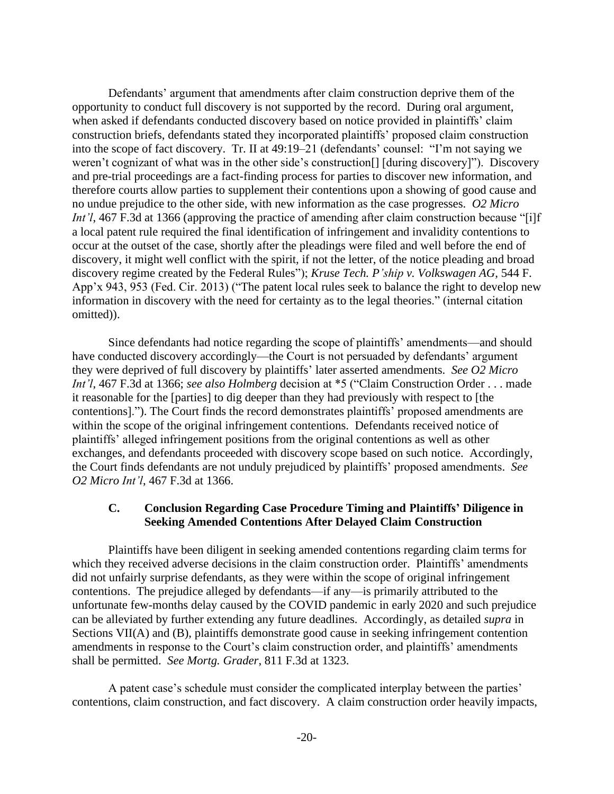Defendants' argument that amendments after claim construction deprive them of the opportunity to conduct full discovery is not supported by the record. During oral argument, when asked if defendants conducted discovery based on notice provided in plaintiffs' claim construction briefs, defendants stated they incorporated plaintiffs' proposed claim construction into the scope of fact discovery. Tr. II at 49:19–21 (defendants' counsel: "I'm not saying we weren't cognizant of what was in the other side's construction[] [during discovery]"). Discovery and pre-trial proceedings are a fact-finding process for parties to discover new information, and therefore courts allow parties to supplement their contentions upon a showing of good cause and no undue prejudice to the other side, with new information as the case progresses. *O2 Micro Int'l*, 467 F.3d at 1366 (approving the practice of amending after claim construction because "[i]f a local patent rule required the final identification of infringement and invalidity contentions to occur at the outset of the case, shortly after the pleadings were filed and well before the end of discovery, it might well conflict with the spirit, if not the letter, of the notice pleading and broad discovery regime created by the Federal Rules"); *Kruse Tech. P'ship v. Volkswagen AG*, 544 F. App'x 943, 953 (Fed. Cir. 2013) ("The patent local rules seek to balance the right to develop new information in discovery with the need for certainty as to the legal theories." (internal citation omitted)).

Since defendants had notice regarding the scope of plaintiffs' amendments—and should have conducted discovery accordingly—the Court is not persuaded by defendants' argument they were deprived of full discovery by plaintiffs' later asserted amendments. *See O2 Micro Int'l*, 467 F.3d at 1366; *see also Holmberg* decision at \*5 ("Claim Construction Order . . . made it reasonable for the [parties] to dig deeper than they had previously with respect to [the contentions]."). The Court finds the record demonstrates plaintiffs' proposed amendments are within the scope of the original infringement contentions. Defendants received notice of plaintiffs' alleged infringement positions from the original contentions as well as other exchanges, and defendants proceeded with discovery scope based on such notice. Accordingly, the Court finds defendants are not unduly prejudiced by plaintiffs' proposed amendments. *See O2 Micro Int'l*, 467 F.3d at 1366.

# **C. Conclusion Regarding Case Procedure Timing and Plaintiffs' Diligence in Seeking Amended Contentions After Delayed Claim Construction**

Plaintiffs have been diligent in seeking amended contentions regarding claim terms for which they received adverse decisions in the claim construction order. Plaintiffs' amendments did not unfairly surprise defendants, as they were within the scope of original infringement contentions. The prejudice alleged by defendants—if any—is primarily attributed to the unfortunate few-months delay caused by the COVID pandemic in early 2020 and such prejudice can be alleviated by further extending any future deadlines. Accordingly, as detailed *supra* in Sections VII(A) and (B), plaintiffs demonstrate good cause in seeking infringement contention amendments in response to the Court's claim construction order, and plaintiffs' amendments shall be permitted. *See Mortg. Grader*, 811 F.3d at 1323.

A patent case's schedule must consider the complicated interplay between the parties' contentions, claim construction, and fact discovery. A claim construction order heavily impacts,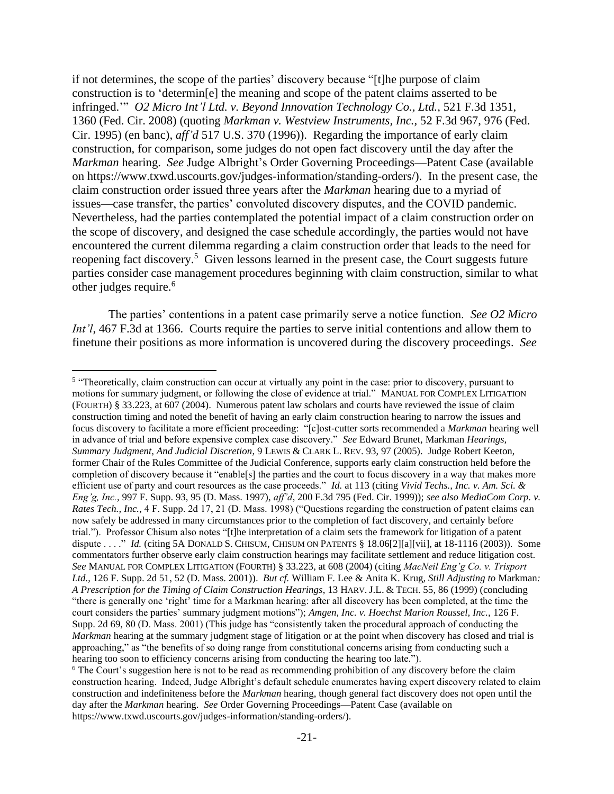if not determines, the scope of the parties' discovery because "[t]he purpose of claim construction is to 'determin[e] the meaning and scope of the patent claims asserted to be infringed.'" *O2 Micro Int'l Ltd. v. Beyond Innovation Technology Co., Ltd.,* 521 F.3d 1351, 1360 (Fed. Cir. 2008) (quoting *Markman v. Westview Instruments, Inc.,* 52 F.3d 967, 976 (Fed. Cir. 1995) (en banc), *aff'd* 517 U.S. 370 (1996)). Regarding the importance of early claim construction, for comparison, some judges do not open fact discovery until the day after the *Markman* hearing. *See* Judge Albright's Order Governing Proceedings—Patent Case (available on [https://www.txwd.uscourts.gov/judges-information/standing-orders/\)](https://www.txwd.uscourts.gov/judges-information/standing-orders/). In the present case, the claim construction order issued three years after the *Markman* hearing due to a myriad of issues—case transfer, the parties' convoluted discovery disputes, and the COVID pandemic. Nevertheless, had the parties contemplated the potential impact of a claim construction order on the scope of discovery, and designed the case schedule accordingly, the parties would not have encountered the current dilemma regarding a claim construction order that leads to the need for reopening fact discovery.<sup>5</sup> Given lessons learned in the present case, the Court suggests future parties consider case management procedures beginning with claim construction, similar to what other judges require.<sup>6</sup>

The parties' contentions in a patent case primarily serve a notice function. *See O2 Micro Int'l*, 467 F.3d at 1366. Courts require the parties to serve initial contentions and allow them to finetune their positions as more information is uncovered during the discovery proceedings. *See* 

<sup>&</sup>lt;sup>5</sup> "Theoretically, claim construction can occur at virtually any point in the case: prior to discovery, pursuant to motions for summary judgment, or following the close of evidence at trial." MANUAL FOR COMPLEX LITIGATION (FOURTH) § 33.223, at 607 (2004). Numerous patent law scholars and courts have reviewed the issue of claim construction timing and noted the benefit of having an early claim construction hearing to narrow the issues and focus discovery to facilitate a more efficient proceeding: "[c]ost-cutter sorts recommended a *Markman* hearing well in advance of trial and before expensive complex case discovery." *See* Edward Brunet, Markman *Hearings, Summary Judgment, And Judicial Discretion*, 9 LEWIS & CLARK L. REV. 93, 97 (2005). Judge Robert Keeton, former Chair of the Rules Committee of the Judicial Conference, supports early claim construction held before the completion of discovery because it "enable[s] the parties and the court to focus discovery in a way that makes more efficient use of party and court resources as the case proceeds." *Id.* at 113 (citing *Vivid Techs., Inc. v. Am. Sci. & Eng'g, Inc.*, 997 F. Supp. 93, 95 (D. Mass. 1997), *aff'd*, 200 F.3d 795 (Fed. Cir. 1999)); *see also MediaCom Corp. v. Rates Tech., Inc., 4 F. Supp. 2d 17, 21 (D. Mass. 1998) ("Questions regarding the construction of patent claims can* now safely be addressed in many circumstances prior to the completion of fact discovery, and certainly before trial."). Professor Chisum also notes "[t]he interpretation of a claim sets the framework for litigation of a patent dispute . . . ." *Id.* (citing 5A DONALD S. CHISUM, CHISUM ON PATENTS § 18.06[2][a][vii], at 18-1116 (2003)). Some commentators further observe early claim construction hearings may facilitate settlement and reduce litigation cost. *See* MANUAL FOR COMPLEX LITIGATION (FOURTH) § 33.223, at 608 (2004) (citing *MacNeil Eng'g Co. v. Trisport Ltd.*, 126 F. Supp. 2d 51, 52 (D. Mass. 2001)). *But cf.* William F. Lee & Anita K. Krug*, Still Adjusting to* Markman*: A Prescription for the Timing of Claim Construction Hearings*, 13 HARV. J.L. & TECH. 55, 86 (1999) (concluding "there is generally one 'right' time for a Markman hearing: after all discovery has been completed, at the time the court considers the parties' summary judgment motions"); *Amgen, Inc. v. Hoechst Marion Roussel, Inc.,* 126 F. Supp. 2d 69, 80 (D. Mass. 2001) (This judge has "consistently taken the procedural approach of conducting the *Markman* hearing at the summary judgment stage of litigation or at the point when discovery has closed and trial is approaching," as "the benefits of so doing range from constitutional concerns arising from conducting such a hearing too soon to efficiency concerns arising from conducting the hearing too late."). <sup>6</sup> The Court's suggestion here is not to be read as recommending prohibition of any discovery before the claim

construction hearing. Indeed, Judge Albright's default schedule enumerates having expert discovery related to claim construction and indefiniteness before the *Markman* hearing, though general fact discovery does not open until the day after the *Markman* hearing. *See* Order Governing Proceedings—Patent Case (available on https://www.txwd.uscourts.gov/judges-information/standing-orders/).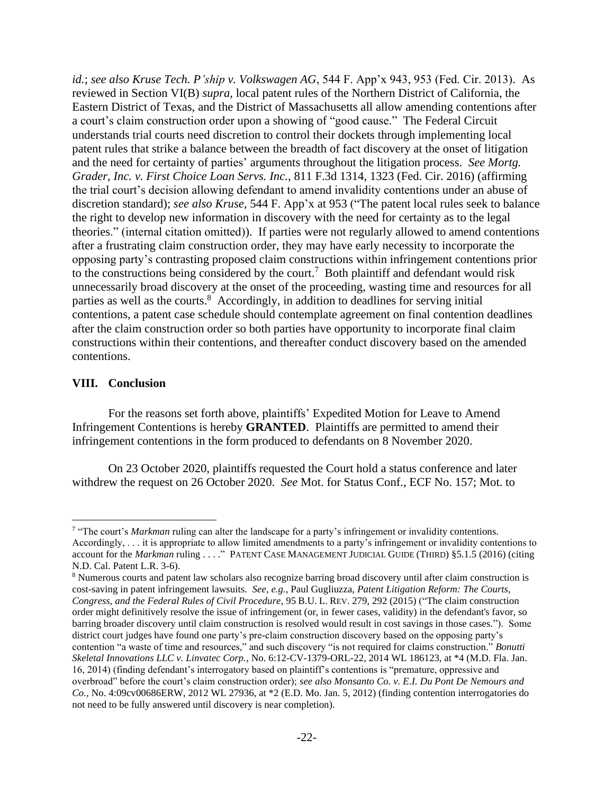*id.*; *see also Kruse Tech. P'ship v. Volkswagen AG*, 544 F. App'x 943, 953 (Fed. Cir. 2013). As reviewed in Section VI(B) *supra*, local patent rules of the Northern District of California, the Eastern District of Texas, and the District of Massachusetts all allow amending contentions after a court's claim construction order upon a showing of "good cause." The Federal Circuit understands trial courts need discretion to control their dockets through implementing local patent rules that strike a balance between the breadth of fact discovery at the onset of litigation and the need for certainty of parties' arguments throughout the litigation process. *See Mortg. Grader, Inc. v. First Choice Loan Servs. Inc.*, 811 F.3d 1314, 1323 (Fed. Cir. 2016) (affirming the trial court's decision allowing defendant to amend invalidity contentions under an abuse of discretion standard); *see also Kruse*, 544 F. App'x at 953 ("The patent local rules seek to balance the right to develop new information in discovery with the need for certainty as to the legal theories." (internal citation omitted)). If parties were not regularly allowed to amend contentions after a frustrating claim construction order, they may have early necessity to incorporate the opposing party's contrasting proposed claim constructions within infringement contentions prior to the constructions being considered by the court.<sup>7</sup> Both plaintiff and defendant would risk unnecessarily broad discovery at the onset of the proceeding, wasting time and resources for all parties as well as the courts.<sup>8</sup> Accordingly, in addition to deadlines for serving initial contentions, a patent case schedule should contemplate agreement on final contention deadlines after the claim construction order so both parties have opportunity to incorporate final claim constructions within their contentions, and thereafter conduct discovery based on the amended contentions.

## **VIII. Conclusion**

For the reasons set forth above, plaintiffs' Expedited Motion for Leave to Amend Infringement Contentions is hereby **GRANTED**. Plaintiffs are permitted to amend their infringement contentions in the form produced to defendants on 8 November 2020.

On 23 October 2020, plaintiffs requested the Court hold a status conference and later withdrew the request on 26 October 2020. *See* Mot. for Status Conf., ECF No. 157; Mot. to

<sup>&</sup>lt;sup>7</sup> "The court's *Markman* ruling can alter the landscape for a party's infringement or invalidity contentions. Accordingly, . . . it is appropriate to allow limited amendments to a party's infringement or invalidity contentions to account for the *Markman* ruling . . . ." PATENT CASE MANAGEMENT JUDICIAL GUIDE (THIRD) §5.1.5 (2016) (citing N.D. Cal. Patent L.R. 3-6).

<sup>8</sup> Numerous courts and patent law scholars also recognize barring broad discovery until after claim construction is cost-saving in patent infringement lawsuits. *See, e.g.,* Paul Gugliuzza, *Patent Litigation Reform: The Courts, Congress, and the Federal Rules of Civil Procedure*, 95 B.U. L. REV. 279, 292 (2015) ("The claim construction order might definitively resolve the issue of infringement (or, in fewer cases, validity) in the defendant's favor, so barring broader discovery until claim construction is resolved would result in cost savings in those cases."). Some district court judges have found one party's pre-claim construction discovery based on the opposing party's contention "a waste of time and resources," and such discovery "is not required for claims construction." *Bonutti Skeletal Innovations LLC v. Linvatec Corp.*, No. 6:12-CV-1379-ORL-22, 2014 WL 186123, at \*4 (M.D. Fla. Jan. 16, 2014) (finding defendant's interrogatory based on plaintiff's contentions is "premature, oppressive and overbroad" before the court's claim construction order); *see also Monsanto Co. v. E.I. Du Pont De Nemours and Co.,* No. 4:09cv00686ERW, 2012 WL 27936, at \*2 (E.D. Mo. Jan. 5, 2012) (finding contention interrogatories do not need to be fully answered until discovery is near completion).